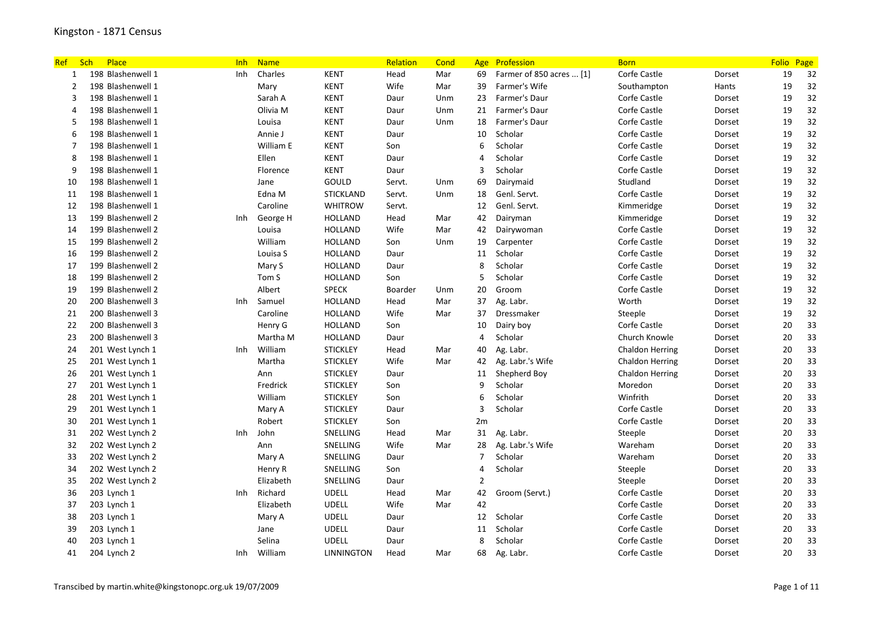| <b>Ref</b>   | Sch | Place             | <b>Inh</b> | <b>Name</b> |                  | Relation | Cond |                | Age Profession           | <b>Born</b>            |        | <b>Folio</b> | Page |
|--------------|-----|-------------------|------------|-------------|------------------|----------|------|----------------|--------------------------|------------------------|--------|--------------|------|
| $\mathbf{1}$ |     | 198 Blashenwell 1 | Inh        | Charles     | <b>KENT</b>      | Head     | Mar  | 69             | Farmer of 850 acres  [1] | Corfe Castle           | Dorset | 19           | 32   |
| 2            |     | 198 Blashenwell 1 |            | Mary        | <b>KENT</b>      | Wife     | Mar  | 39             | Farmer's Wife            | Southampton            | Hants  | 19           | 32   |
| 3            |     | 198 Blashenwell 1 |            | Sarah A     | KENT             | Daur     | Unm  | 23             | Farmer's Daur            | Corfe Castle           | Dorset | 19           | 32   |
| 4            |     | 198 Blashenwell 1 |            | Olivia M    | KENT             | Daur     | Unm  | 21             | Farmer's Daur            | Corfe Castle           | Dorset | 19           | 32   |
| 5            |     | 198 Blashenwell 1 |            | Louisa      | <b>KENT</b>      | Daur     | Unm  | 18             | Farmer's Daur            | Corfe Castle           | Dorset | 19           | 32   |
| 6            |     | 198 Blashenwell 1 |            | Annie J     | <b>KENT</b>      | Daur     |      | 10             | Scholar                  | Corfe Castle           | Dorset | 19           | 32   |
| 7            |     | 198 Blashenwell 1 |            | William E   | <b>KENT</b>      | Son      |      | 6              | Scholar                  | Corfe Castle           | Dorset | 19           | 32   |
| 8            |     | 198 Blashenwell 1 |            | Ellen       | KENT             | Daur     |      | $\overline{4}$ | Scholar                  | Corfe Castle           | Dorset | 19           | 32   |
| 9            |     | 198 Blashenwell 1 |            | Florence    | <b>KENT</b>      | Daur     |      | $\overline{3}$ | Scholar                  | Corfe Castle           | Dorset | 19           | 32   |
| 10           |     | 198 Blashenwell 1 |            | Jane        | GOULD            | Servt.   | Unm  | 69             | Dairymaid                | Studland               | Dorset | 19           | 32   |
| 11           |     | 198 Blashenwell 1 |            | Edna M      | <b>STICKLAND</b> | Servt.   | Unm  | 18             | Genl. Servt.             | Corfe Castle           | Dorset | 19           | 32   |
| 12           |     | 198 Blashenwell 1 |            | Caroline    | <b>WHITROW</b>   | Servt.   |      | 12             | Genl. Servt.             | Kimmeridge             | Dorset | 19           | 32   |
| 13           |     | 199 Blashenwell 2 | Inh        | George H    | <b>HOLLAND</b>   | Head     | Mar  | 42             | Dairyman                 | Kimmeridge             | Dorset | 19           | 32   |
| 14           |     | 199 Blashenwell 2 |            | Louisa      | <b>HOLLAND</b>   | Wife     | Mar  | 42             | Dairywoman               | Corfe Castle           | Dorset | 19           | 32   |
| 15           |     | 199 Blashenwell 2 |            | William     | HOLLAND          | Son      | Unm  | 19             | Carpenter                | Corfe Castle           | Dorset | 19           | 32   |
| 16           |     | 199 Blashenwell 2 |            | Louisa S    | <b>HOLLAND</b>   | Daur     |      | 11             | Scholar                  | Corfe Castle           | Dorset | 19           | 32   |
| 17           |     | 199 Blashenwell 2 |            | Mary S      | <b>HOLLAND</b>   | Daur     |      | 8              | Scholar                  | Corfe Castle           | Dorset | 19           | 32   |
| 18           |     | 199 Blashenwell 2 |            | Tom S       | <b>HOLLAND</b>   | Son      |      | 5              | Scholar                  | Corfe Castle           | Dorset | 19           | 32   |
| 19           |     | 199 Blashenwell 2 |            | Albert      | <b>SPECK</b>     | Boarder  | Unm  | 20             | Groom                    | Corfe Castle           | Dorset | 19           | 32   |
| 20           |     | 200 Blashenwell 3 | Inh        | Samuel      | HOLLAND          | Head     | Mar  | 37             | Ag. Labr.                | Worth                  | Dorset | 19           | 32   |
| 21           |     | 200 Blashenwell 3 |            | Caroline    | <b>HOLLAND</b>   | Wife     | Mar  | 37             | Dressmaker               | Steeple                | Dorset | 19           | 32   |
| 22           |     | 200 Blashenwell 3 |            | Henry G     | <b>HOLLAND</b>   | Son      |      | 10             | Dairy boy                | Corfe Castle           | Dorset | 20           | 33   |
| 23           |     | 200 Blashenwell 3 |            | Martha M    | <b>HOLLAND</b>   | Daur     |      | $\overline{4}$ | Scholar                  | Church Knowle          | Dorset | 20           | 33   |
| 24           |     | 201 West Lynch 1  | Inh        | William     | <b>STICKLEY</b>  | Head     | Mar  | 40             | Ag. Labr.                | Chaldon Herring        | Dorset | 20           | 33   |
| 25           |     | 201 West Lynch 1  |            | Martha      | <b>STICKLEY</b>  | Wife     | Mar  | 42             | Ag. Labr.'s Wife         | <b>Chaldon Herring</b> | Dorset | 20           | 33   |
| 26           |     | 201 West Lynch 1  |            | Ann         | <b>STICKLEY</b>  | Daur     |      | 11             | Shepherd Boy             | <b>Chaldon Herring</b> | Dorset | 20           | 33   |
| 27           |     | 201 West Lynch 1  |            | Fredrick    | <b>STICKLEY</b>  | Son      |      | 9              | Scholar                  | Moredon                | Dorset | 20           | 33   |
| 28           |     | 201 West Lynch 1  |            | William     | <b>STICKLEY</b>  | Son      |      | 6              | Scholar                  | Winfrith               | Dorset | 20           | 33   |
| 29           |     | 201 West Lynch 1  |            | Mary A      | <b>STICKLEY</b>  | Daur     |      | $\overline{3}$ | Scholar                  | Corfe Castle           | Dorset | 20           | 33   |
| 30           |     | 201 West Lynch 1  |            | Robert      | <b>STICKLEY</b>  | Son      |      | 2m             |                          | Corfe Castle           | Dorset | 20           | 33   |
| 31           |     | 202 West Lynch 2  | Inh        | John        | SNELLING         | Head     | Mar  | 31             | Ag. Labr.                | Steeple                | Dorset | 20           | 33   |
| 32           |     | 202 West Lynch 2  |            | Ann         | SNELLING         | Wife     | Mar  | 28             | Ag. Labr.'s Wife         | Wareham                | Dorset | 20           | 33   |
| 33           |     | 202 West Lynch 2  |            | Mary A      | SNELLING         | Daur     |      | $\overline{7}$ | Scholar                  | Wareham                | Dorset | 20           | 33   |
| 34           |     | 202 West Lynch 2  |            | Henry R     | SNELLING         | Son      |      | $\overline{4}$ | Scholar                  | Steeple                | Dorset | 20           | 33   |
| 35           |     | 202 West Lynch 2  |            | Elizabeth   | SNELLING         | Daur     |      | $\overline{2}$ |                          | Steeple                | Dorset | 20           | 33   |
| 36           |     | 203 Lynch 1       | Inh        | Richard     | <b>UDELL</b>     | Head     | Mar  | 42             | Groom (Servt.)           | Corfe Castle           | Dorset | 20           | 33   |
| 37           |     | 203 Lynch 1       |            | Elizabeth   | <b>UDELL</b>     | Wife     | Mar  | 42             |                          | Corfe Castle           | Dorset | 20           | 33   |
| 38           |     | 203 Lynch 1       |            | Mary A      | <b>UDELL</b>     | Daur     |      | 12             | Scholar                  | Corfe Castle           | Dorset | 20           | 33   |
| 39           |     | 203 Lynch 1       |            | Jane        | <b>UDELL</b>     | Daur     |      | 11             | Scholar                  | Corfe Castle           | Dorset | 20           | 33   |
| 40           |     | 203 Lynch 1       |            | Selina      | <b>UDELL</b>     | Daur     |      | 8              | Scholar                  | Corfe Castle           | Dorset | 20           | 33   |
| 41           |     | 204 Lynch 2       | Inh        | William     | LINNINGTON       | Head     | Mar  | 68             | Ag. Labr.                | Corfe Castle           | Dorset | 20           | 33   |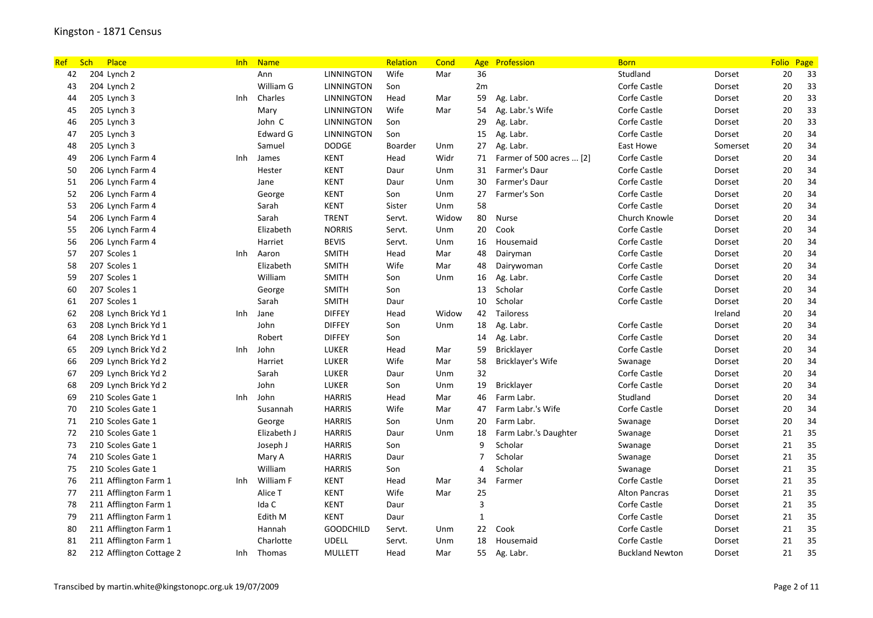| <b>Ref</b> | Sch | Place                    | Inh  | <b>Name</b> |                   | Relation | Cond  | Age            | Profession               | <b>Born</b>            |          | <b>Folio</b> | Page |
|------------|-----|--------------------------|------|-------------|-------------------|----------|-------|----------------|--------------------------|------------------------|----------|--------------|------|
| 42         |     | 204 Lynch 2              |      | Ann         | LINNINGTON        | Wife     | Mar   | 36             |                          | Studland               | Dorset   | 20           | 33   |
| 43         |     | 204 Lynch 2              |      | William G   | <b>LINNINGTON</b> | Son      |       | 2m             |                          | Corfe Castle           | Dorset   | 20           | 33   |
| 44         |     | 205 Lynch 3              | Inh  | Charles     | <b>LINNINGTON</b> | Head     | Mar   | 59             | Ag. Labr.                | Corfe Castle           | Dorset   | 20           | 33   |
| 45         |     | 205 Lynch 3              |      | Mary        | <b>LINNINGTON</b> | Wife     | Mar   | 54             | Ag. Labr.'s Wife         | Corfe Castle           | Dorset   | 20           | 33   |
| 46         |     | 205 Lynch 3              |      | John C      | LINNINGTON        | Son      |       | 29             | Ag. Labr.                | Corfe Castle           | Dorset   | 20           | 33   |
| 47         |     | 205 Lynch 3              |      | Edward G    | LINNINGTON        | Son      |       | 15             | Ag. Labr.                | Corfe Castle           | Dorset   | 20           | 34   |
| 48         |     | 205 Lynch 3              |      | Samuel      | <b>DODGE</b>      | Boarder  | Unm   | 27             | Ag. Labr.                | East Howe              | Somerset | 20           | 34   |
| 49         |     | 206 Lynch Farm 4         | Inh. | James       | <b>KENT</b>       | Head     | Widr  | 71             | Farmer of 500 acres  [2] | Corfe Castle           | Dorset   | 20           | 34   |
| 50         |     | 206 Lynch Farm 4         |      | Hester      | <b>KENT</b>       | Daur     | Unm   | 31             | Farmer's Daur            | Corfe Castle           | Dorset   | 20           | 34   |
| 51         |     | 206 Lynch Farm 4         |      | Jane        | <b>KENT</b>       | Daur     | Unm   | 30             | Farmer's Daur            | Corfe Castle           | Dorset   | 20           | 34   |
| 52         |     | 206 Lynch Farm 4         |      | George      | <b>KENT</b>       | Son      | Unm   | 27             | Farmer's Son             | Corfe Castle           | Dorset   | 20           | 34   |
| 53         |     | 206 Lynch Farm 4         |      | Sarah       | <b>KENT</b>       | Sister   | Unm   | 58             |                          | Corfe Castle           | Dorset   | 20           | 34   |
| 54         |     | 206 Lynch Farm 4         |      | Sarah       | <b>TRENT</b>      | Servt.   | Widow | 80             | Nurse                    | Church Knowle          | Dorset   | 20           | 34   |
| 55         |     | 206 Lynch Farm 4         |      | Elizabeth   | <b>NORRIS</b>     | Servt.   | Unm   | 20             | Cook                     | Corfe Castle           | Dorset   | 20           | 34   |
| 56         |     | 206 Lynch Farm 4         |      | Harriet     | <b>BEVIS</b>      | Servt.   | Unm   | 16             | Housemaid                | Corfe Castle           | Dorset   | 20           | 34   |
| 57         |     | 207 Scoles 1             | Inh  | Aaron       | <b>SMITH</b>      | Head     | Mar   | 48             | Dairyman                 | Corfe Castle           | Dorset   | 20           | 34   |
| 58         |     | 207 Scoles 1             |      | Elizabeth   | <b>SMITH</b>      | Wife     | Mar   | 48             | Dairywoman               | Corfe Castle           | Dorset   | 20           | 34   |
| 59         |     | 207 Scoles 1             |      | William     | <b>SMITH</b>      | Son      | Unm   | 16             | Ag. Labr.                | Corfe Castle           | Dorset   | 20           | 34   |
| 60         |     | 207 Scoles 1             |      | George      | <b>SMITH</b>      | Son      |       | 13             | Scholar                  | Corfe Castle           | Dorset   | $20\,$       | 34   |
| 61         |     | 207 Scoles 1             |      | Sarah       | SMITH             | Daur     |       | 10             | Scholar                  | Corfe Castle           | Dorset   | 20           | 34   |
| 62         |     | 208 Lynch Brick Yd 1     | Inh  | Jane        | <b>DIFFEY</b>     | Head     | Widow | 42             | Tailoress                |                        | Ireland  | 20           | 34   |
| 63         |     | 208 Lynch Brick Yd 1     |      | John        | <b>DIFFEY</b>     | Son      | Unm   | 18             | Ag. Labr.                | Corfe Castle           | Dorset   | 20           | 34   |
| 64         |     | 208 Lynch Brick Yd 1     |      | Robert      | <b>DIFFEY</b>     | Son      |       | 14             | Ag. Labr.                | Corfe Castle           | Dorset   | $20\,$       | 34   |
| 65         |     | 209 Lynch Brick Yd 2     | Inh  | John        | LUKER             | Head     | Mar   | 59             | Bricklayer               | Corfe Castle           | Dorset   | 20           | 34   |
| 66         |     | 209 Lynch Brick Yd 2     |      | Harriet     | <b>LUKER</b>      | Wife     | Mar   | 58             | Bricklayer's Wife        | Swanage                | Dorset   | 20           | 34   |
| 67         |     | 209 Lynch Brick Yd 2     |      | Sarah       | <b>LUKER</b>      | Daur     | Unm   | 32             |                          | Corfe Castle           | Dorset   | 20           | 34   |
| 68         |     | 209 Lynch Brick Yd 2     |      | John        | LUKER             | Son      | Unm   | 19             | Bricklayer               | Corfe Castle           | Dorset   | 20           | 34   |
| 69         |     | 210 Scoles Gate 1        | Inh  | John        | <b>HARRIS</b>     | Head     | Mar   | 46             | Farm Labr.               | Studland               | Dorset   | 20           | 34   |
| 70         |     | 210 Scoles Gate 1        |      | Susannah    | <b>HARRIS</b>     | Wife     | Mar   | 47             | Farm Labr.'s Wife        | Corfe Castle           | Dorset   | 20           | 34   |
| 71         |     | 210 Scoles Gate 1        |      | George      | <b>HARRIS</b>     | Son      | Unm   | 20             | Farm Labr.               | Swanage                | Dorset   | 20           | 34   |
| 72         |     | 210 Scoles Gate 1        |      | Elizabeth J | <b>HARRIS</b>     | Daur     | Unm   | 18             | Farm Labr.'s Daughter    | Swanage                | Dorset   | 21           | 35   |
| 73         |     | 210 Scoles Gate 1        |      | Joseph J    | <b>HARRIS</b>     | Son      |       | 9              | Scholar                  | Swanage                | Dorset   | 21           | 35   |
| 74         |     | 210 Scoles Gate 1        |      | Mary A      | <b>HARRIS</b>     | Daur     |       | $\overline{7}$ | Scholar                  | Swanage                | Dorset   | 21           | 35   |
| 75         |     | 210 Scoles Gate 1        |      | William     | <b>HARRIS</b>     | Son      |       | $\overline{4}$ | Scholar                  | Swanage                | Dorset   | 21           | 35   |
| 76         |     | 211 Afflington Farm 1    | Inh  | William F   | <b>KENT</b>       | Head     | Mar   | 34             | Farmer                   | Corfe Castle           | Dorset   | 21           | 35   |
| 77         |     | 211 Afflington Farm 1    |      | Alice T     | <b>KENT</b>       | Wife     | Mar   | 25             |                          | <b>Alton Pancras</b>   | Dorset   | 21           | 35   |
| 78         |     | 211 Afflington Farm 1    |      | Ida C       | <b>KENT</b>       | Daur     |       | 3              |                          | Corfe Castle           | Dorset   | 21           | 35   |
| 79         |     | 211 Afflington Farm 1    |      | Edith M     | <b>KENT</b>       | Daur     |       | $\mathbf{1}$   |                          | Corfe Castle           | Dorset   | 21           | 35   |
| 80         |     | 211 Afflington Farm 1    |      | Hannah      | <b>GOODCHILD</b>  | Servt.   | Unm   | 22             | Cook                     | Corfe Castle           | Dorset   | 21           | 35   |
| 81         |     | 211 Afflington Farm 1    |      | Charlotte   | <b>UDELL</b>      | Servt.   | Unm   | 18             | Housemaid                | Corfe Castle           | Dorset   | 21           | 35   |
| 82         |     | 212 Afflington Cottage 2 | Inh  | Thomas      | <b>MULLETT</b>    | Head     | Mar   | 55             | Ag. Labr.                | <b>Buckland Newton</b> | Dorset   | 21           | 35   |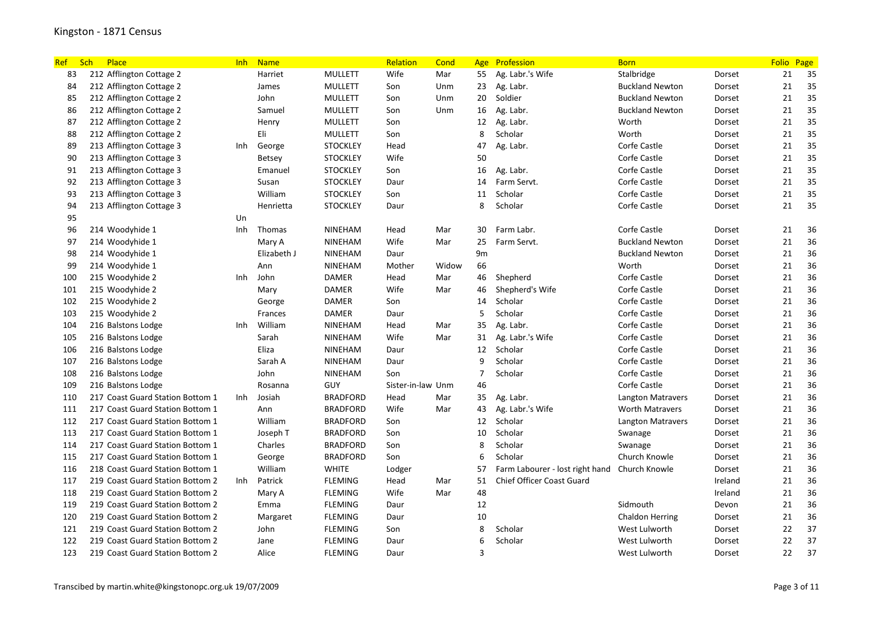| <b>Ref</b> | Sch | Place                            | Inh  | <b>Name</b>   |                 | Relation          | Cond  |                | Age Profession                  | <b>Born</b>              |         | <b>Folio</b> | Page |
|------------|-----|----------------------------------|------|---------------|-----------------|-------------------|-------|----------------|---------------------------------|--------------------------|---------|--------------|------|
| 83         |     | 212 Afflington Cottage 2         |      | Harriet       | <b>MULLETT</b>  | Wife              | Mar   | 55             | Ag. Labr.'s Wife                | Stalbridge               | Dorset  | 21           | 35   |
| 84         |     | 212 Afflington Cottage 2         |      | James         | <b>MULLETT</b>  | Son               | Unm   | 23             | Ag. Labr.                       | <b>Buckland Newton</b>   | Dorset  | 21           | 35   |
| 85         |     | 212 Afflington Cottage 2         |      | John          | <b>MULLETT</b>  | Son               | Unm   | 20             | Soldier                         | <b>Buckland Newton</b>   | Dorset  | 21           | 35   |
| 86         |     | 212 Afflington Cottage 2         |      | Samuel        | <b>MULLETT</b>  | Son               | Unm   | 16             | Ag. Labr.                       | <b>Buckland Newton</b>   | Dorset  | 21           | 35   |
| 87         |     | 212 Afflington Cottage 2         |      | Henry         | <b>MULLETT</b>  | Son               |       | 12             | Ag. Labr.                       | Worth                    | Dorset  | 21           | 35   |
| 88         |     | 212 Afflington Cottage 2         |      | Eli           | <b>MULLETT</b>  | Son               |       | 8              | Scholar                         | Worth                    | Dorset  | 21           | 35   |
| 89         |     | 213 Afflington Cottage 3         | Inh  | George        | <b>STOCKLEY</b> | Head              |       | 47             | Ag. Labr.                       | Corfe Castle             | Dorset  | 21           | 35   |
| 90         |     | 213 Afflington Cottage 3         |      | <b>Betsey</b> | <b>STOCKLEY</b> | Wife              |       | 50             |                                 | Corfe Castle             | Dorset  | 21           | 35   |
| 91         |     | 213 Afflington Cottage 3         |      | Emanuel       | <b>STOCKLEY</b> | Son               |       | 16             | Ag. Labr.                       | Corfe Castle             | Dorset  | 21           | 35   |
| 92         |     | 213 Afflington Cottage 3         |      | Susan         | <b>STOCKLEY</b> | Daur              |       | 14             | Farm Servt.                     | Corfe Castle             | Dorset  | 21           | 35   |
| 93         |     | 213 Afflington Cottage 3         |      | William       | <b>STOCKLEY</b> | Son               |       | 11             | Scholar                         | Corfe Castle             | Dorset  | 21           | 35   |
| 94         |     | 213 Afflington Cottage 3         |      | Henrietta     | <b>STOCKLEY</b> | Daur              |       | 8              | Scholar                         | Corfe Castle             | Dorset  | 21           | 35   |
| 95         |     |                                  | Un   |               |                 |                   |       |                |                                 |                          |         |              |      |
| 96         |     | 214 Woodyhide 1                  | Inh  | Thomas        | <b>NINEHAM</b>  | Head              | Mar   | 30             | Farm Labr.                      | Corfe Castle             | Dorset  | 21           | 36   |
| 97         |     | 214 Woodyhide 1                  |      | Mary A        | <b>NINEHAM</b>  | Wife              | Mar   | 25             | Farm Servt.                     | <b>Buckland Newton</b>   | Dorset  | 21           | 36   |
| 98         |     | 214 Woodyhide 1                  |      | Elizabeth J   | <b>NINEHAM</b>  | Daur              |       | 9m             |                                 | <b>Buckland Newton</b>   | Dorset  | 21           | 36   |
| 99         |     | 214 Woodyhide 1                  |      | Ann           | <b>NINEHAM</b>  | Mother            | Widow | 66             |                                 | Worth                    | Dorset  | 21           | 36   |
| 100        |     | 215 Woodyhide 2                  | Inh. | John          | <b>DAMER</b>    | Head              | Mar   | 46             | Shepherd                        | Corfe Castle             | Dorset  | 21           | 36   |
| 101        |     | 215 Woodyhide 2                  |      | Mary          | <b>DAMER</b>    | Wife              | Mar   | 46             | Shepherd's Wife                 | Corfe Castle             | Dorset  | 21           | 36   |
| 102        |     | 215 Woodyhide 2                  |      | George        | <b>DAMER</b>    | Son               |       | 14             | Scholar                         | Corfe Castle             | Dorset  | 21           | 36   |
| 103        |     | 215 Woodyhide 2                  |      | Frances       | <b>DAMER</b>    | Daur              |       | 5              | Scholar                         | Corfe Castle             | Dorset  | 21           | 36   |
| 104        |     | 216 Balstons Lodge               | Inh. | William       | <b>NINEHAM</b>  | Head              | Mar   | 35             | Ag. Labr.                       | Corfe Castle             | Dorset  | 21           | 36   |
| 105        |     | 216 Balstons Lodge               |      | Sarah         | <b>NINEHAM</b>  | Wife              | Mar   | 31             | Ag. Labr.'s Wife                | Corfe Castle             | Dorset  | 21           | 36   |
| 106        |     | 216 Balstons Lodge               |      | Eliza         | <b>NINEHAM</b>  | Daur              |       | 12             | Scholar                         | Corfe Castle             | Dorset  | 21           | 36   |
| 107        |     | 216 Balstons Lodge               |      | Sarah A       | <b>NINEHAM</b>  | Daur              |       | 9              | Scholar                         | Corfe Castle             | Dorset  | 21           | 36   |
| 108        |     | 216 Balstons Lodge               |      | John          | <b>NINEHAM</b>  | Son               |       | $\overline{7}$ | Scholar                         | Corfe Castle             | Dorset  | 21           | 36   |
| 109        |     | 216 Balstons Lodge               |      | Rosanna       | GUY             | Sister-in-law Unm |       | 46             |                                 | Corfe Castle             | Dorset  | 21           | 36   |
| 110        |     | 217 Coast Guard Station Bottom 1 | Inh  | Josiah        | <b>BRADFORD</b> | Head              | Mar   | 35             | Ag. Labr.                       | <b>Langton Matravers</b> | Dorset  | 21           | 36   |
| 111        |     | 217 Coast Guard Station Bottom 1 |      | Ann           | <b>BRADFORD</b> | Wife              | Mar   | 43             | Ag. Labr.'s Wife                | <b>Worth Matravers</b>   | Dorset  | 21           | 36   |
| 112        |     | 217 Coast Guard Station Bottom 1 |      | William       | <b>BRADFORD</b> | Son               |       | 12             | Scholar                         | <b>Langton Matravers</b> | Dorset  | 21           | 36   |
| 113        |     | 217 Coast Guard Station Bottom 1 |      | Joseph T      | <b>BRADFORD</b> | Son               |       | 10             | Scholar                         | Swanage                  | Dorset  | 21           | 36   |
| 114        |     | 217 Coast Guard Station Bottom 1 |      | Charles       | <b>BRADFORD</b> | Son               |       | 8              | Scholar                         | Swanage                  | Dorset  | 21           | 36   |
| 115        |     | 217 Coast Guard Station Bottom 1 |      | George        | <b>BRADFORD</b> | Son               |       | 6              | Scholar                         | Church Knowle            | Dorset  | 21           | 36   |
| 116        |     | 218 Coast Guard Station Bottom 1 |      | William       | <b>WHITE</b>    | Lodger            |       | 57             | Farm Labourer - lost right hand | Church Knowle            | Dorset  | 21           | 36   |
| 117        |     | 219 Coast Guard Station Bottom 2 | Inh  | Patrick       | <b>FLEMING</b>  | Head              | Mar   | 51             | Chief Officer Coast Guard       |                          | Ireland | 21           | 36   |
| 118        |     | 219 Coast Guard Station Bottom 2 |      | Mary A        | <b>FLEMING</b>  | Wife              | Mar   | 48             |                                 |                          | Ireland | 21           | 36   |
| 119        |     | 219 Coast Guard Station Bottom 2 |      | Emma          | <b>FLEMING</b>  | Daur              |       | 12             |                                 | Sidmouth                 | Devon   | 21           | 36   |
| 120        |     | 219 Coast Guard Station Bottom 2 |      | Margaret      | <b>FLEMING</b>  | Daur              |       | 10             |                                 | <b>Chaldon Herring</b>   | Dorset  | 21           | 36   |
| 121        |     | 219 Coast Guard Station Bottom 2 |      | John          | <b>FLEMING</b>  | Son               |       | 8              | Scholar                         | West Lulworth            | Dorset  | 22           | 37   |
| 122        |     | 219 Coast Guard Station Bottom 2 |      | Jane          | <b>FLEMING</b>  | Daur              |       | 6              | Scholar                         | West Lulworth            | Dorset  | 22           | 37   |
| 123        |     | 219 Coast Guard Station Bottom 2 |      | Alice         | <b>FLEMING</b>  | Daur              |       | 3              |                                 | West Lulworth            | Dorset  | 22           | 37   |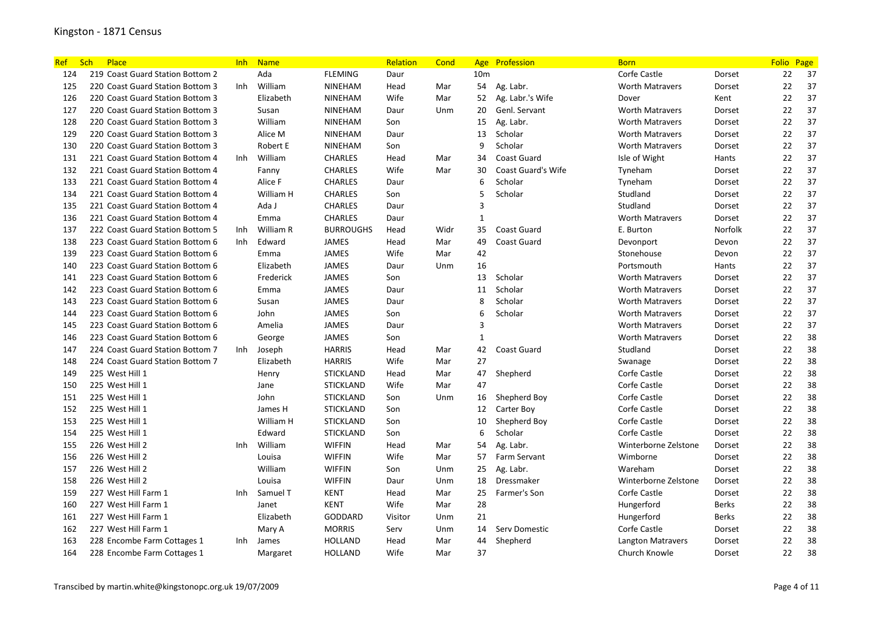| Ref | Sch<br>Place                     | <b>Inh</b> | <b>Name</b> |                  | Relation | Cond |                 | Age Profession            | <b>Born</b>              |              | <b>Folio</b> | Page |
|-----|----------------------------------|------------|-------------|------------------|----------|------|-----------------|---------------------------|--------------------------|--------------|--------------|------|
| 124 | 219 Coast Guard Station Bottom 2 |            | Ada         | <b>FLEMING</b>   | Daur     |      | 10 <sub>m</sub> |                           | Corfe Castle             | Dorset       | 22           | 37   |
| 125 | 220 Coast Guard Station Bottom 3 | Inh        | William     | <b>NINEHAM</b>   | Head     | Mar  | 54              | Ag. Labr.                 | <b>Worth Matravers</b>   | Dorset       | 22           | 37   |
| 126 | 220 Coast Guard Station Bottom 3 |            | Elizabeth   | <b>NINEHAM</b>   | Wife     | Mar  | 52              | Ag. Labr.'s Wife          | Dover                    | Kent         | 22           | 37   |
| 127 | 220 Coast Guard Station Bottom 3 |            | Susan       | <b>NINEHAM</b>   | Daur     | Unm  | 20              | Genl. Servant             | Worth Matravers          | Dorset       | 22           | 37   |
| 128 | 220 Coast Guard Station Bottom 3 |            | William     | <b>NINEHAM</b>   | Son      |      | 15              | Ag. Labr.                 | <b>Worth Matravers</b>   | Dorset       | 22           | 37   |
| 129 | 220 Coast Guard Station Bottom 3 |            | Alice M     | <b>NINEHAM</b>   | Daur     |      | 13              | Scholar                   | <b>Worth Matravers</b>   | Dorset       | 22           | 37   |
| 130 | 220 Coast Guard Station Bottom 3 |            | Robert E    | <b>NINEHAM</b>   | Son      |      | 9               | Scholar                   | <b>Worth Matravers</b>   | Dorset       | 22           | 37   |
| 131 | 221 Coast Guard Station Bottom 4 | Inh        | William     | <b>CHARLES</b>   | Head     | Mar  | 34              | Coast Guard               | Isle of Wight            | Hants        | 22           | 37   |
| 132 | 221 Coast Guard Station Bottom 4 |            | Fanny       | <b>CHARLES</b>   | Wife     | Mar  | 30              | <b>Coast Guard's Wife</b> | Tyneham                  | Dorset       | 22           | 37   |
| 133 | 221 Coast Guard Station Bottom 4 |            | Alice F     | <b>CHARLES</b>   | Daur     |      | 6               | Scholar                   | Tyneham                  | Dorset       | 22           | 37   |
| 134 | 221 Coast Guard Station Bottom 4 |            | William H   | <b>CHARLES</b>   | Son      |      | 5               | Scholar                   | Studland                 | Dorset       | 22           | 37   |
| 135 | 221 Coast Guard Station Bottom 4 |            | Ada J       | <b>CHARLES</b>   | Daur     |      | $\overline{3}$  |                           | Studland                 | Dorset       | 22           | 37   |
| 136 | 221 Coast Guard Station Bottom 4 |            | Emma        | <b>CHARLES</b>   | Daur     |      | $\mathbf{1}$    |                           | <b>Worth Matravers</b>   | Dorset       | 22           | 37   |
| 137 | 222 Coast Guard Station Bottom 5 | Inh        | William R   | <b>BURROUGHS</b> | Head     | Widr | 35              | Coast Guard               | E. Burton                | Norfolk      | 22           | 37   |
| 138 | 223 Coast Guard Station Bottom 6 | Inh        | Edward      | <b>JAMES</b>     | Head     | Mar  | 49              | Coast Guard               | Devonport                | Devon        | 22           | 37   |
| 139 | 223 Coast Guard Station Bottom 6 |            | Emma        | <b>JAMES</b>     | Wife     | Mar  | 42              |                           | Stonehouse               | Devon        | 22           | 37   |
| 140 | 223 Coast Guard Station Bottom 6 |            | Elizabeth   | <b>JAMES</b>     | Daur     | Unm  | 16              |                           | Portsmouth               | Hants        | 22           | 37   |
| 141 | 223 Coast Guard Station Bottom 6 |            | Frederick   | <b>JAMES</b>     | Son      |      | 13              | Scholar                   | <b>Worth Matravers</b>   | Dorset       | 22           | 37   |
| 142 | 223 Coast Guard Station Bottom 6 |            | Emma        | <b>JAMES</b>     | Daur     |      | 11              | Scholar                   | <b>Worth Matravers</b>   | Dorset       | 22           | 37   |
| 143 | 223 Coast Guard Station Bottom 6 |            | Susan       | <b>JAMES</b>     | Daur     |      | 8               | Scholar                   | <b>Worth Matravers</b>   | Dorset       | 22           | 37   |
| 144 | 223 Coast Guard Station Bottom 6 |            | John        | <b>JAMES</b>     | Son      |      | 6               | Scholar                   | <b>Worth Matravers</b>   | Dorset       | 22           | 37   |
| 145 | 223 Coast Guard Station Bottom 6 |            | Amelia      | <b>JAMES</b>     | Daur     |      | 3               |                           | <b>Worth Matravers</b>   | Dorset       | 22           | 37   |
| 146 | 223 Coast Guard Station Bottom 6 |            | George      | <b>JAMES</b>     | Son      |      | $\mathbf{1}$    |                           | <b>Worth Matravers</b>   | Dorset       | 22           | 38   |
| 147 | 224 Coast Guard Station Bottom 7 | Inh        | Joseph      | <b>HARRIS</b>    | Head     | Mar  | 42              | Coast Guard               | Studland                 | Dorset       | 22           | 38   |
| 148 | 224 Coast Guard Station Bottom 7 |            | Elizabeth   | <b>HARRIS</b>    | Wife     | Mar  | 27              |                           | Swanage                  | Dorset       | 22           | 38   |
| 149 | 225 West Hill 1                  |            | Henry       | <b>STICKLAND</b> | Head     | Mar  | 47              | Shepherd                  | Corfe Castle             | Dorset       | 22           | 38   |
| 150 | 225 West Hill 1                  |            | Jane        | <b>STICKLAND</b> | Wife     | Mar  | 47              |                           | Corfe Castle             | Dorset       | 22           | 38   |
| 151 | 225 West Hill 1                  |            | John        | <b>STICKLAND</b> | Son      | Unm  | 16              | Shepherd Boy              | Corfe Castle             | Dorset       | 22           | 38   |
| 152 | 225 West Hill 1                  |            | James H     | <b>STICKLAND</b> | Son      |      | 12              | Carter Boy                | Corfe Castle             | Dorset       | 22           | 38   |
| 153 | 225 West Hill 1                  |            | William H   | <b>STICKLAND</b> | Son      |      | 10              | Shepherd Boy              | Corfe Castle             | Dorset       | 22           | 38   |
| 154 | 225 West Hill 1                  |            | Edward      | <b>STICKLAND</b> | Son      |      | 6               | Scholar                   | Corfe Castle             | Dorset       | 22           | 38   |
| 155 | 226 West Hill 2                  | Inh        | William     | <b>WIFFIN</b>    | Head     | Mar  | 54              | Ag. Labr.                 | Winterborne Zelstone     | Dorset       | 22           | 38   |
| 156 | 226 West Hill 2                  |            | Louisa      | <b>WIFFIN</b>    | Wife     | Mar  | 57              | <b>Farm Servant</b>       | Wimborne                 | Dorset       | 22           | 38   |
| 157 | 226 West Hill 2                  |            | William     | <b>WIFFIN</b>    | Son      | Unm  | 25              | Ag. Labr.                 | Wareham                  | Dorset       | 22           | 38   |
| 158 | 226 West Hill 2                  |            | Louisa      | <b>WIFFIN</b>    | Daur     | Unm  | 18              | Dressmaker                | Winterborne Zelstone     | Dorset       | 22           | 38   |
| 159 | 227 West Hill Farm 1             | Inh.       | Samuel T    | <b>KENT</b>      | Head     | Mar  | 25              | Farmer's Son              | Corfe Castle             | Dorset       | 22           | 38   |
| 160 | 227 West Hill Farm 1             |            | Janet       | <b>KENT</b>      | Wife     | Mar  | 28              |                           | Hungerford               | <b>Berks</b> | 22           | 38   |
| 161 | 227 West Hill Farm 1             |            | Elizabeth   | <b>GODDARD</b>   | Visitor  | Unm  | 21              |                           | Hungerford               | <b>Berks</b> | 22           | 38   |
| 162 | 227 West Hill Farm 1             |            | Mary A      | <b>MORRIS</b>    | Serv     | Unm  | 14              | Serv Domestic             | Corfe Castle             | Dorset       | 22           | 38   |
| 163 | 228 Encombe Farm Cottages 1      | Inh        | James       | <b>HOLLAND</b>   | Head     | Mar  | 44              | Shepherd                  | <b>Langton Matravers</b> | Dorset       | 22           | 38   |
| 164 | 228 Encombe Farm Cottages 1      |            | Margaret    | <b>HOLLAND</b>   | Wife     | Mar  | 37              |                           | Church Knowle            | Dorset       | 22           | 38   |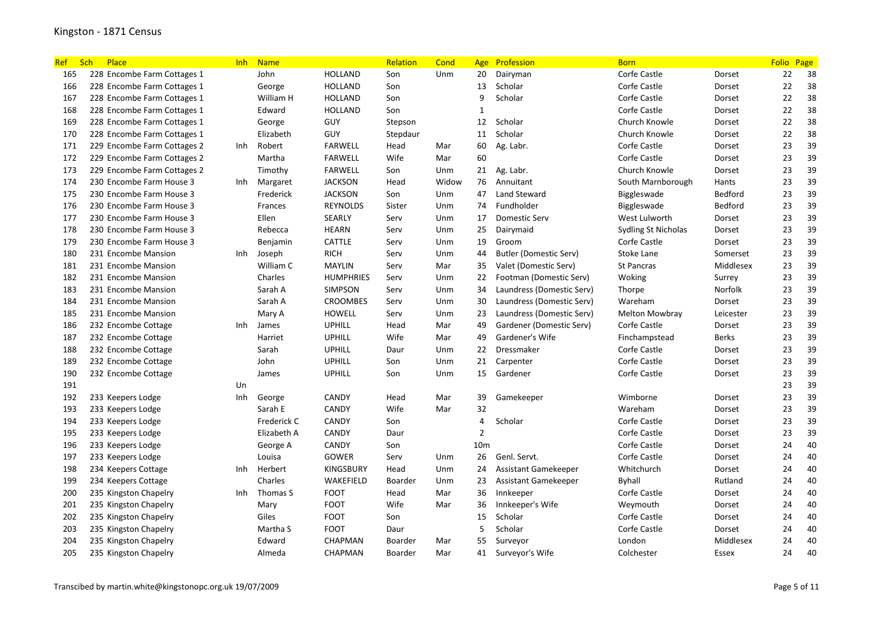| <b>Ref</b> | <b>Sch</b><br>Place         | lnh        | <b>Name</b> |                  | Relation | Cond  | Age             | Profession                    | <b>Born</b>           |              | <b>Folio</b> | Page |
|------------|-----------------------------|------------|-------------|------------------|----------|-------|-----------------|-------------------------------|-----------------------|--------------|--------------|------|
| 165        | 228 Encombe Farm Cottages 1 |            | John        | <b>HOLLAND</b>   | Son      | Unm   | 20              | Dairyman                      | Corfe Castle          | Dorset       | 22           | 38   |
| 166        | 228 Encombe Farm Cottages 1 |            | George      | <b>HOLLAND</b>   | Son      |       | 13              | Scholar                       | Corfe Castle          | Dorset       | 22           | 38   |
| 167        | 228 Encombe Farm Cottages 1 |            | William H   | <b>HOLLAND</b>   | Son      |       | 9               | Scholar                       | Corfe Castle          | Dorset       | 22           | 38   |
| 168        | 228 Encombe Farm Cottages 1 |            | Edward      | HOLLAND          | Son      |       | 1               |                               | Corfe Castle          | Dorset       | 22           | 38   |
| 169        | 228 Encombe Farm Cottages 1 |            | George      | GUY              | Stepson  |       | 12              | Scholar                       | Church Knowle         | Dorset       | 22           | 38   |
| 170        | 228 Encombe Farm Cottages 1 |            | Elizabeth   | GUY              | Stepdaur |       | 11              | Scholar                       | Church Knowle         | Dorset       | 22           | 38   |
| 171        | 229 Encombe Farm Cottages 2 | Inh.       | Robert      | <b>FARWELL</b>   | Head     | Mar   | 60              | Ag. Labr.                     | Corfe Castle          | Dorset       | 23           | 39   |
| 172        | 229 Encombe Farm Cottages 2 |            | Martha      | <b>FARWELL</b>   | Wife     | Mar   | 60              |                               | Corfe Castle          | Dorset       | 23           | 39   |
| 173        | 229 Encombe Farm Cottages 2 |            | Timothy     | <b>FARWELL</b>   | Son      | Unm   | 21              | Ag. Labr.                     | Church Knowle         | Dorset       | 23           | 39   |
| 174        | 230 Encombe Farm House 3    | Inh.       | Margaret    | <b>JACKSON</b>   | Head     | Widow | 76              | Annuitant                     | South Marnborough     | Hants        | 23           | 39   |
| 175        | 230 Encombe Farm House 3    |            | Frederick   | <b>JACKSON</b>   | Son      | Unm   | 47              | <b>Land Steward</b>           | Biggleswade           | Bedford      | 23           | 39   |
| 176        | 230 Encombe Farm House 3    |            | Frances     | <b>REYNOLDS</b>  | Sister   | Unm   | 74              | Fundholder                    | Biggleswade           | Bedford      | 23           | 39   |
| 177        | 230 Encombe Farm House 3    |            | Ellen       | SEARLY           | Serv     | Unm   | 17              | Domestic Serv                 | West Lulworth         | Dorset       | 23           | 39   |
| 178        | 230 Encombe Farm House 3    |            | Rebecca     | <b>HEARN</b>     | Serv     | Unm   | 25              | Dairymaid                     | Sydling St Nicholas   | Dorset       | 23           | 39   |
| 179        | 230 Encombe Farm House 3    |            | Benjamin    | CATTLE           | Serv     | Unm   | 19              | Groom                         | Corfe Castle          | Dorset       | 23           | 39   |
| 180        | 231 Encombe Mansion         | Inh        | Joseph      | <b>RICH</b>      | Serv     | Unm   | 44              | <b>Butler (Domestic Serv)</b> | Stoke Lane            | Somerset     | 23           | 39   |
| 181        | 231 Encombe Mansion         |            | William C   | <b>MAYLIN</b>    | Serv     | Mar   | 35              | Valet (Domestic Serv)         | <b>St Pancras</b>     | Middlesex    | 23           | 39   |
| 182        | 231 Encombe Mansion         |            | Charles     | <b>HUMPHRIES</b> | Serv     | Unm   | 22              | Footman (Domestic Serv)       | Woking                | Surrey       | 23           | 39   |
| 183        | 231 Encombe Mansion         |            | Sarah A     | SIMPSON          | Serv     | Unm   | 34              | Laundress (Domestic Serv)     | Thorpe                | Norfolk      | 23           | 39   |
| 184        | 231 Encombe Mansion         |            | Sarah A     | <b>CROOMBES</b>  | Serv     | Unm   | 30              | Laundress (Domestic Serv)     | Wareham               | Dorset       | 23           | 39   |
| 185        | 231 Encombe Mansion         |            | Mary A      | <b>HOWELL</b>    | Serv     | Unm   | 23              | Laundress (Domestic Serv)     | <b>Melton Mowbray</b> | Leicester    | 23           | 39   |
| 186        | 232 Encombe Cottage         | Inh        | James       | <b>UPHILL</b>    | Head     | Mar   | 49              | Gardener (Domestic Serv)      | Corfe Castle          | Dorset       | 23           | 39   |
| 187        | 232 Encombe Cottage         |            | Harriet     | <b>UPHILL</b>    | Wife     | Mar   | 49              | Gardener's Wife               | Finchampstead         | <b>Berks</b> | 23           | 39   |
| 188        | 232 Encombe Cottage         |            | Sarah       | <b>UPHILL</b>    | Daur     | Unm   | 22              | Dressmaker                    | Corfe Castle          | Dorset       | 23           | 39   |
| 189        | 232 Encombe Cottage         |            | John        | <b>UPHILL</b>    | Son      | Unm   | 21              | Carpenter                     | Corfe Castle          | Dorset       | 23           | 39   |
| 190        | 232 Encombe Cottage         |            | James       | <b>UPHILL</b>    | Son      | Unm   | 15              | Gardener                      | Corfe Castle          | Dorset       | 23           | 39   |
| 191        |                             | Un         |             |                  |          |       |                 |                               |                       |              | 23           | 39   |
| 192        | 233 Keepers Lodge           | Inh        | George      | CANDY            | Head     | Mar   | 39              | Gamekeeper                    | Wimborne              | Dorset       | 23           | 39   |
| 193        | 233 Keepers Lodge           |            | Sarah E     | CANDY            | Wife     | Mar   | 32              |                               | Wareham               | Dorset       | 23           | 39   |
| 194        | 233 Keepers Lodge           |            | Frederick C | CANDY            | Son      |       | $\overline{4}$  | Scholar                       | Corfe Castle          | Dorset       | 23           | 39   |
| 195        | 233 Keepers Lodge           |            | Elizabeth A | CANDY            | Daur     |       | $\overline{2}$  |                               | Corfe Castle          | Dorset       | 23           | 39   |
| 196        | 233 Keepers Lodge           |            | George A    | <b>CANDY</b>     | Son      |       | 10 <sub>m</sub> |                               | Corfe Castle          | Dorset       | 24           | 40   |
| 197        | 233 Keepers Lodge           |            | Louisa      | <b>GOWER</b>     | Serv     | Unm   | 26              | Genl. Servt.                  | Corfe Castle          | Dorset       | 24           | 40   |
| 198        | 234 Keepers Cottage         | Inh        | Herbert     | <b>KINGSBURY</b> | Head     | Unm   | 24              | Assistant Gamekeeper          | Whitchurch            | Dorset       | 24           | 40   |
| 199        | 234 Keepers Cottage         |            | Charles     | WAKEFIELD        | Boarder  | Unm   | 23              | Assistant Gamekeeper          | Byhall                | Rutland      | 24           | 40   |
| 200        | 235 Kingston Chapelry       | <b>Inh</b> | Thomas S    | <b>FOOT</b>      | Head     | Mar   | 36              | Innkeeper                     | Corfe Castle          | Dorset       | 24           | 40   |
| 201        | 235 Kingston Chapelry       |            | Mary        | <b>FOOT</b>      | Wife     | Mar   | 36              | Innkeeper's Wife              | Weymouth              | Dorset       | 24           | 40   |
| 202        | 235 Kingston Chapelry       |            | Giles       | <b>FOOT</b>      | Son      |       | 15              | Scholar                       | Corfe Castle          | Dorset       | 24           | 40   |
| 203        | 235 Kingston Chapelry       |            | Martha S    | <b>FOOT</b>      | Daur     |       | 5               | Scholar                       | Corfe Castle          | Dorset       | 24           | 40   |
| 204        | 235 Kingston Chapelry       |            | Edward      | CHAPMAN          | Boarder  | Mar   | 55              | Surveyor                      | London                | Middlesex    | 24           | 40   |
| 205        | 235 Kingston Chapelry       |            | Almeda      | CHAPMAN          | Boarder  | Mar   | 41              | Surveyor's Wife               | Colchester            | Essex        | 24           | 40   |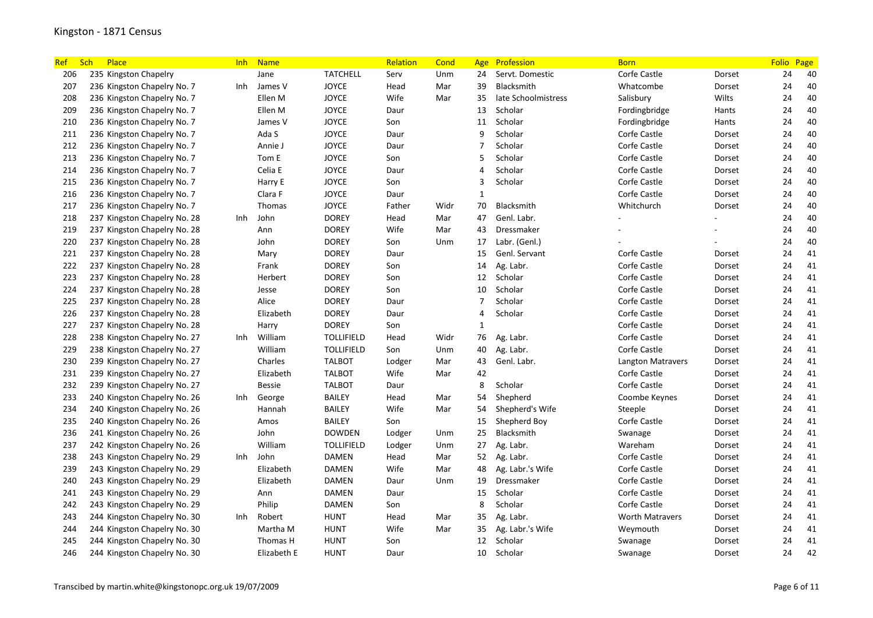| <b>Ref</b> | Sch<br>Place                 | <b>Inh</b> | <b>Name</b>   |                   | Relation | Cond | Age            | Profession          | <b>Born</b>              |        | Folio Page |    |
|------------|------------------------------|------------|---------------|-------------------|----------|------|----------------|---------------------|--------------------------|--------|------------|----|
| 206        | 235 Kingston Chapelry        |            | Jane          | <b>TATCHELL</b>   | Serv     | Unm  | 24             | Servt. Domestic     | Corfe Castle             | Dorset | 24         | 40 |
| 207        | 236 Kingston Chapelry No. 7  | Inh        | James V       | <b>JOYCE</b>      | Head     | Mar  | 39             | Blacksmith          | Whatcombe                | Dorset | 24         | 40 |
| 208        | 236 Kingston Chapelry No. 7  |            | Ellen M       | <b>JOYCE</b>      | Wife     | Mar  | 35             | late Schoolmistress | Salisbury                | Wilts  | 24         | 40 |
| 209        | 236 Kingston Chapelry No. 7  |            | Ellen M       | <b>JOYCE</b>      | Daur     |      | 13             | Scholar             | Fordingbridge            | Hants  | 24         | 40 |
| 210        | 236 Kingston Chapelry No. 7  |            | James V       | <b>JOYCE</b>      | Son      |      | 11             | Scholar             | Fordingbridge            | Hants  | 24         | 40 |
| 211        | 236 Kingston Chapelry No. 7  |            | Ada S         | <b>JOYCE</b>      | Daur     |      | 9              | Scholar             | Corfe Castle             | Dorset | 24         | 40 |
| 212        | 236 Kingston Chapelry No. 7  |            | Annie J       | <b>JOYCE</b>      | Daur     |      | 7              | Scholar             | Corfe Castle             | Dorset | 24         | 40 |
| 213        | 236 Kingston Chapelry No. 7  |            | Tom E         | <b>JOYCE</b>      | Son      |      | 5              | Scholar             | Corfe Castle             | Dorset | 24         | 40 |
| 214        | 236 Kingston Chapelry No. 7  |            | Celia E       | <b>JOYCE</b>      | Daur     |      | $\overline{4}$ | Scholar             | Corfe Castle             | Dorset | 24         | 40 |
| 215        | 236 Kingston Chapelry No. 7  |            | Harry E       | <b>JOYCE</b>      | Son      |      | 3              | Scholar             | Corfe Castle             | Dorset | 24         | 40 |
| 216        | 236 Kingston Chapelry No. 7  |            | Clara F       | <b>JOYCE</b>      | Daur     |      | $\mathbf{1}$   |                     | Corfe Castle             | Dorset | 24         | 40 |
| 217        | 236 Kingston Chapelry No. 7  |            | Thomas        | <b>JOYCE</b>      | Father   | Widr | 70             | Blacksmith          | Whitchurch               | Dorset | 24         | 40 |
| 218        | 237 Kingston Chapelry No. 28 | Inh        | John          | <b>DOREY</b>      | Head     | Mar  | 47             | Genl. Labr.         |                          |        | 24         | 40 |
| 219        | 237 Kingston Chapelry No. 28 |            | Ann           | <b>DOREY</b>      | Wife     | Mar  | 43             | Dressmaker          |                          |        | 24         | 40 |
| 220        | 237 Kingston Chapelry No. 28 |            | John          | <b>DOREY</b>      | Son      | Unm  | 17             | Labr. (Genl.)       |                          |        | 24         | 40 |
| 221        | 237 Kingston Chapelry No. 28 |            | Mary          | <b>DOREY</b>      | Daur     |      | 15             | Genl. Servant       | Corfe Castle             | Dorset | 24         | 41 |
| 222        | 237 Kingston Chapelry No. 28 |            | Frank         | <b>DOREY</b>      | Son      |      | 14             | Ag. Labr.           | Corfe Castle             | Dorset | 24         | 41 |
| 223        | 237 Kingston Chapelry No. 28 |            | Herbert       | <b>DOREY</b>      | Son      |      | 12             | Scholar             | Corfe Castle             | Dorset | 24         | 41 |
| 224        | 237 Kingston Chapelry No. 28 |            | Jesse         | <b>DOREY</b>      | Son      |      | 10             | Scholar             | Corfe Castle             | Dorset | 24         | 41 |
| 225        | 237 Kingston Chapelry No. 28 |            | Alice         | <b>DOREY</b>      | Daur     |      | $\overline{7}$ | Scholar             | Corfe Castle             | Dorset | 24         | 41 |
| 226        | 237 Kingston Chapelry No. 28 |            | Elizabeth     | <b>DOREY</b>      | Daur     |      | $\overline{4}$ | Scholar             | Corfe Castle             | Dorset | 24         | 41 |
| 227        | 237 Kingston Chapelry No. 28 |            | Harry         | <b>DOREY</b>      | Son      |      | $\mathbf{1}$   |                     | Corfe Castle             | Dorset | 24         | 41 |
| 228        | 238 Kingston Chapelry No. 27 | Inh        | William       | <b>TOLLIFIELD</b> | Head     | Widr | 76             | Ag. Labr.           | Corfe Castle             | Dorset | 24         | 41 |
| 229        | 238 Kingston Chapelry No. 27 |            | William       | <b>TOLLIFIELD</b> | Son      | Unm  | 40             | Ag. Labr.           | Corfe Castle             | Dorset | 24         | 41 |
| 230        | 239 Kingston Chapelry No. 27 |            | Charles       | <b>TALBOT</b>     | Lodger   | Mar  | 43             | Genl. Labr.         | <b>Langton Matravers</b> | Dorset | 24         | 41 |
| 231        | 239 Kingston Chapelry No. 27 |            | Elizabeth     | <b>TALBOT</b>     | Wife     | Mar  | 42             |                     | Corfe Castle             | Dorset | 24         | 41 |
| 232        | 239 Kingston Chapelry No. 27 |            | <b>Bessie</b> | <b>TALBOT</b>     | Daur     |      | 8              | Scholar             | Corfe Castle             | Dorset | 24         | 41 |
| 233        | 240 Kingston Chapelry No. 26 | Inh        | George        | <b>BAILEY</b>     | Head     | Mar  | 54             | Shepherd            | Coombe Keynes            | Dorset | 24         | 41 |
| 234        | 240 Kingston Chapelry No. 26 |            | Hannah        | <b>BAILEY</b>     | Wife     | Mar  | 54             | Shepherd's Wife     | Steeple                  | Dorset | 24         | 41 |
| 235        | 240 Kingston Chapelry No. 26 |            | Amos          | <b>BAILEY</b>     | Son      |      | 15             | Shepherd Boy        | Corfe Castle             | Dorset | 24         | 41 |
| 236        | 241 Kingston Chapelry No. 26 |            | John          | <b>DOWDEN</b>     | Lodger   | Unm  | 25             | Blacksmith          | Swanage                  | Dorset | 24         | 41 |
| 237        | 242 Kingston Chapelry No. 26 |            | William       | <b>TOLLIFIELD</b> | Lodger   | Unm  | 27             | Ag. Labr.           | Wareham                  | Dorset | 24         | 41 |
| 238        | 243 Kingston Chapelry No. 29 | Inh        | John          | <b>DAMEN</b>      | Head     | Mar  | 52             | Ag. Labr.           | Corfe Castle             | Dorset | 24         | 41 |
| 239        | 243 Kingston Chapelry No. 29 |            | Elizabeth     | <b>DAMEN</b>      | Wife     | Mar  | 48             | Ag. Labr.'s Wife    | Corfe Castle             | Dorset | 24         | 41 |
| 240        | 243 Kingston Chapelry No. 29 |            | Elizabeth     | <b>DAMEN</b>      | Daur     | Unm  | 19             | Dressmaker          | Corfe Castle             | Dorset | 24         | 41 |
| 241        | 243 Kingston Chapelry No. 29 |            | Ann           | <b>DAMEN</b>      | Daur     |      | 15             | Scholar             | Corfe Castle             | Dorset | 24         | 41 |
| 242        | 243 Kingston Chapelry No. 29 |            | Philip        | <b>DAMEN</b>      | Son      |      | 8              | Scholar             | Corfe Castle             | Dorset | 24         | 41 |
| 243        | 244 Kingston Chapelry No. 30 | Inh        | Robert        | <b>HUNT</b>       | Head     | Mar  | 35             | Ag. Labr.           | <b>Worth Matravers</b>   | Dorset | 24         | 41 |
| 244        | 244 Kingston Chapelry No. 30 |            | Martha M      | <b>HUNT</b>       | Wife     | Mar  | 35             | Ag. Labr.'s Wife    | Weymouth                 | Dorset | 24         | 41 |
| 245        | 244 Kingston Chapelry No. 30 |            | Thomas H      | <b>HUNT</b>       | Son      |      | 12             | Scholar             | Swanage                  | Dorset | 24         | 41 |
| 246        | 244 Kingston Chapelry No. 30 |            | Elizabeth E   | <b>HUNT</b>       | Daur     |      | 10             | Scholar             | Swanage                  | Dorset | 24         | 42 |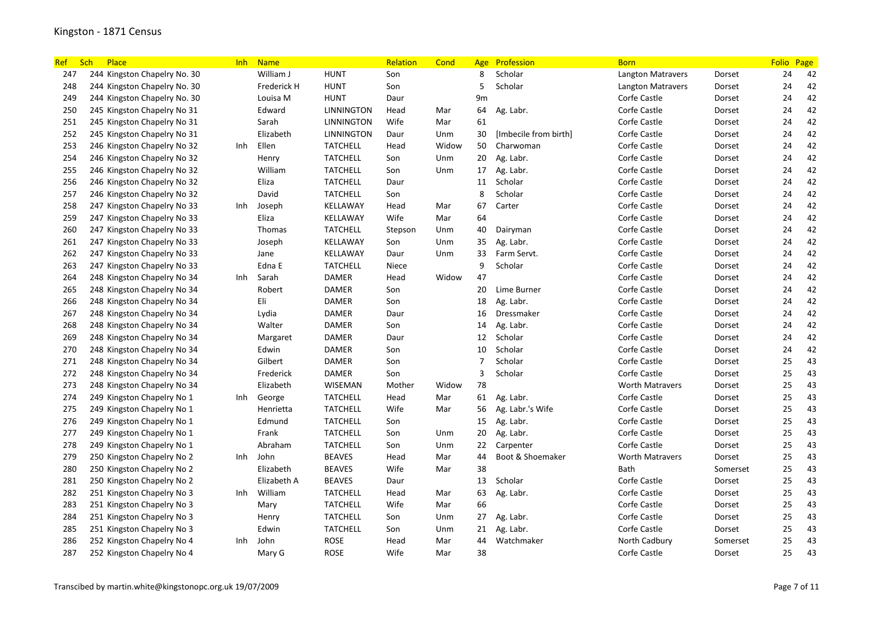| Ref. | Sch<br>Place                 | <b>Inh</b> | <b>Name</b>   |                   | Relation | Cond  | Age            | Profession            | <b>Born</b>              |          | Folio Page |    |
|------|------------------------------|------------|---------------|-------------------|----------|-------|----------------|-----------------------|--------------------------|----------|------------|----|
| 247  | 244 Kingston Chapelry No. 30 |            | William J     | <b>HUNT</b>       | Son      |       | 8              | Scholar               | <b>Langton Matravers</b> | Dorset   | 24         | 42 |
| 248  | 244 Kingston Chapelry No. 30 |            | Frederick H   | HUNT              | Son      |       | 5              | Scholar               | Langton Matravers        | Dorset   | 24         | 42 |
| 249  | 244 Kingston Chapelry No. 30 |            | Louisa M      | <b>HUNT</b>       | Daur     |       | 9m             |                       | Corfe Castle             | Dorset   | 24         | 42 |
| 250  | 245 Kingston Chapelry No 31  |            | Edward        | <b>LINNINGTON</b> | Head     | Mar   | 64             | Ag. Labr.             | Corfe Castle             | Dorset   | 24         | 42 |
| 251  | 245 Kingston Chapelry No 31  |            | Sarah         | <b>LINNINGTON</b> | Wife     | Mar   | 61             |                       | Corfe Castle             | Dorset   | 24         | 42 |
| 252  | 245 Kingston Chapelry No 31  |            | Elizabeth     | <b>LINNINGTON</b> | Daur     | Unm   | 30             | [Imbecile from birth] | Corfe Castle             | Dorset   | 24         | 42 |
| 253  | 246 Kingston Chapelry No 32  | Inh        | Ellen         | <b>TATCHELL</b>   | Head     | Widow | 50             | Charwoman             | Corfe Castle             | Dorset   | 24         | 42 |
| 254  | 246 Kingston Chapelry No 32  |            | Henry         | <b>TATCHELL</b>   | Son      | Unm   | 20             | Ag. Labr.             | Corfe Castle             | Dorset   | 24         | 42 |
| 255  | 246 Kingston Chapelry No 32  |            | William       | <b>TATCHELL</b>   | Son      | Unm   | 17             | Ag. Labr.             | Corfe Castle             | Dorset   | 24         | 42 |
| 256  | 246 Kingston Chapelry No 32  |            | Eliza         | <b>TATCHELL</b>   | Daur     |       | 11             | Scholar               | Corfe Castle             | Dorset   | 24         | 42 |
| 257  | 246 Kingston Chapelry No 32  |            | David         | <b>TATCHELL</b>   | Son      |       | 8              | Scholar               | Corfe Castle             | Dorset   | 24         | 42 |
| 258  | 247 Kingston Chapelry No 33  | Inh        | Joseph        | KELLAWAY          | Head     | Mar   | 67             | Carter                | Corfe Castle             | Dorset   | 24         | 42 |
| 259  | 247 Kingston Chapelry No 33  |            | Eliza         | KELLAWAY          | Wife     | Mar   | 64             |                       | Corfe Castle             | Dorset   | 24         | 42 |
| 260  | 247 Kingston Chapelry No 33  |            | <b>Thomas</b> | <b>TATCHELL</b>   | Stepson  | Unm   | 40             | Dairyman              | Corfe Castle             | Dorset   | 24         | 42 |
| 261  | 247 Kingston Chapelry No 33  |            | Joseph        | KELLAWAY          | Son      | Unm   | 35             | Ag. Labr.             | Corfe Castle             | Dorset   | 24         | 42 |
| 262  | 247 Kingston Chapelry No 33  |            | Jane          | KELLAWAY          | Daur     | Unm   | 33             | Farm Servt.           | Corfe Castle             | Dorset   | 24         | 42 |
| 263  | 247 Kingston Chapelry No 33  |            | Edna E        | <b>TATCHELL</b>   | Niece    |       | 9              | Scholar               | Corfe Castle             | Dorset   | 24         | 42 |
| 264  | 248 Kingston Chapelry No 34  | Inh        | Sarah         | DAMER             | Head     | Widow | 47             |                       | Corfe Castle             | Dorset   | 24         | 42 |
| 265  | 248 Kingston Chapelry No 34  |            | Robert        | DAMER             | Son      |       | 20             | Lime Burner           | Corfe Castle             | Dorset   | 24         | 42 |
| 266  | 248 Kingston Chapelry No 34  |            | Eli           | DAMER             | Son      |       | 18             | Ag. Labr.             | Corfe Castle             | Dorset   | 24         | 42 |
| 267  | 248 Kingston Chapelry No 34  |            | Lydia         | DAMER             | Daur     |       | 16             | Dressmaker            | Corfe Castle             | Dorset   | 24         | 42 |
| 268  | 248 Kingston Chapelry No 34  |            | Walter        | <b>DAMER</b>      | Son      |       | 14             | Ag. Labr.             | Corfe Castle             | Dorset   | 24         | 42 |
| 269  | 248 Kingston Chapelry No 34  |            | Margaret      | DAMER             | Daur     |       | 12             | Scholar               | Corfe Castle             | Dorset   | 24         | 42 |
| 270  | 248 Kingston Chapelry No 34  |            | Edwin         | DAMER             | Son      |       | 10             | Scholar               | Corfe Castle             | Dorset   | 24         | 42 |
| 271  | 248 Kingston Chapelry No 34  |            | Gilbert       | <b>DAMER</b>      | Son      |       | $\overline{7}$ | Scholar               | Corfe Castle             | Dorset   | 25         | 43 |
| 272  | 248 Kingston Chapelry No 34  |            | Frederick     | <b>DAMER</b>      | Son      |       | 3              | Scholar               | Corfe Castle             | Dorset   | 25         | 43 |
| 273  | 248 Kingston Chapelry No 34  |            | Elizabeth     | WISEMAN           | Mother   | Widow | 78             |                       | <b>Worth Matravers</b>   | Dorset   | 25         | 43 |
| 274  | 249 Kingston Chapelry No 1   | Inh        | George        | <b>TATCHELL</b>   | Head     | Mar   | 61             | Ag. Labr.             | Corfe Castle             | Dorset   | 25         | 43 |
| 275  | 249 Kingston Chapelry No 1   |            | Henrietta     | <b>TATCHELL</b>   | Wife     | Mar   | 56             | Ag. Labr.'s Wife      | Corfe Castle             | Dorset   | 25         | 43 |
| 276  | 249 Kingston Chapelry No 1   |            | Edmund        | <b>TATCHELL</b>   | Son      |       | 15             | Ag. Labr.             | Corfe Castle             | Dorset   | 25         | 43 |
| 277  | 249 Kingston Chapelry No 1   |            | Frank         | <b>TATCHELL</b>   | Son      | Unm   | 20             | Ag. Labr.             | Corfe Castle             | Dorset   | 25         | 43 |
| 278  | 249 Kingston Chapelry No 1   |            | Abraham       | <b>TATCHELL</b>   | Son      | Unm   | 22             | Carpenter             | Corfe Castle             | Dorset   | 25         | 43 |
| 279  | 250 Kingston Chapelry No 2   | Inh        | John          | <b>BEAVES</b>     | Head     | Mar   | 44             | Boot & Shoemaker      | <b>Worth Matravers</b>   | Dorset   | 25         | 43 |
| 280  | 250 Kingston Chapelry No 2   |            | Elizabeth     | <b>BEAVES</b>     | Wife     | Mar   | 38             |                       | Bath                     | Somerset | 25         | 43 |
| 281  | 250 Kingston Chapelry No 2   |            | Elizabeth A   | <b>BEAVES</b>     | Daur     |       | 13             | Scholar               | Corfe Castle             | Dorset   | 25         | 43 |
| 282  | 251 Kingston Chapelry No 3   | Inh        | William       | <b>TATCHELL</b>   | Head     | Mar   | 63             | Ag. Labr.             | Corfe Castle             | Dorset   | 25         | 43 |
| 283  | 251 Kingston Chapelry No 3   |            | Mary          | <b>TATCHELL</b>   | Wife     | Mar   | 66             |                       | Corfe Castle             | Dorset   | 25         | 43 |
| 284  | 251 Kingston Chapelry No 3   |            | Henry         | <b>TATCHELL</b>   | Son      | Unm   | 27             | Ag. Labr.             | Corfe Castle             | Dorset   | 25         | 43 |
| 285  | 251 Kingston Chapelry No 3   |            | Edwin         | <b>TATCHELL</b>   | Son      | Unm   | 21             | Ag. Labr.             | Corfe Castle             | Dorset   | 25         | 43 |
| 286  | 252 Kingston Chapelry No 4   | Inh        | John          | <b>ROSE</b>       | Head     | Mar   | 44             | Watchmaker            | North Cadbury            | Somerset | 25         | 43 |
| 287  | 252 Kingston Chapelry No 4   |            | Mary G        | ROSE              | Wife     | Mar   | 38             |                       | Corfe Castle             | Dorset   | 25         | 43 |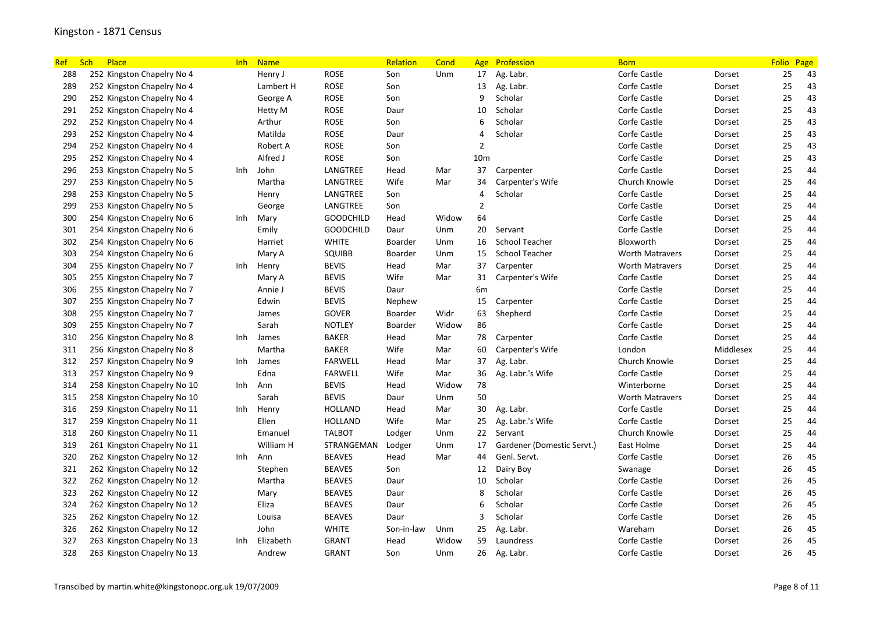| <b>Ref</b> | <b>Sch</b><br>Place         | <b>Inh</b> | <b>Name</b> |                  | Relation   | Cond  | Age             | Profession                 | <b>Born</b>            |           | Folio Page |    |
|------------|-----------------------------|------------|-------------|------------------|------------|-------|-----------------|----------------------------|------------------------|-----------|------------|----|
| 288        | 252 Kingston Chapelry No 4  |            | Henry J     | ROSE             | Son        | Unm   | 17              | Ag. Labr.                  | Corfe Castle           | Dorset    | 25         | 43 |
| 289        | 252 Kingston Chapelry No 4  |            | Lambert H   | <b>ROSE</b>      | Son        |       | 13              | Ag. Labr.                  | Corfe Castle           | Dorset    | 25         | 43 |
| 290        | 252 Kingston Chapelry No 4  |            | George A    | <b>ROSE</b>      | Son        |       | 9               | Scholar                    | Corfe Castle           | Dorset    | 25         | 43 |
| 291        | 252 Kingston Chapelry No 4  |            | Hetty M     | ROSE             | Daur       |       | 10              | Scholar                    | Corfe Castle           | Dorset    | 25         | 43 |
| 292        | 252 Kingston Chapelry No 4  |            | Arthur      | ROSE             | Son        |       | 6               | Scholar                    | Corfe Castle           | Dorset    | 25         | 43 |
| 293        | 252 Kingston Chapelry No 4  |            | Matilda     | <b>ROSE</b>      | Daur       |       | 4               | Scholar                    | Corfe Castle           | Dorset    | 25         | 43 |
| 294        | 252 Kingston Chapelry No 4  |            | Robert A    | <b>ROSE</b>      | Son        |       | $\overline{2}$  |                            | Corfe Castle           | Dorset    | 25         | 43 |
| 295        | 252 Kingston Chapelry No 4  |            | Alfred J    | <b>ROSE</b>      | Son        |       | 10 <sub>m</sub> |                            | Corfe Castle           | Dorset    | 25         | 43 |
| 296        | 253 Kingston Chapelry No 5  | <b>Inh</b> | John        | LANGTREE         | Head       | Mar   | 37              | Carpenter                  | Corfe Castle           | Dorset    | 25         | 44 |
| 297        | 253 Kingston Chapelry No 5  |            | Martha      | LANGTREE         | Wife       | Mar   | 34              | Carpenter's Wife           | Church Knowle          | Dorset    | 25         | 44 |
| 298        | 253 Kingston Chapelry No 5  |            | Henry       | LANGTREE         | Son        |       | $\overline{a}$  | Scholar                    | Corfe Castle           | Dorset    | 25         | 44 |
| 299        | 253 Kingston Chapelry No 5  |            | George      | LANGTREE         | Son        |       | $\overline{2}$  |                            | Corfe Castle           | Dorset    | 25         | 44 |
| 300        | 254 Kingston Chapelry No 6  | Inh        | Mary        | <b>GOODCHILD</b> | Head       | Widow | 64              |                            | Corfe Castle           | Dorset    | 25         | 44 |
| 301        | 254 Kingston Chapelry No 6  |            | Emily       | <b>GOODCHILD</b> | Daur       | Unm   | 20              | Servant                    | Corfe Castle           | Dorset    | 25         | 44 |
| 302        | 254 Kingston Chapelry No 6  |            | Harriet     | <b>WHITE</b>     | Boarder    | Unm   | 16              | <b>School Teacher</b>      | Bloxworth              | Dorset    | 25         | 44 |
| 303        | 254 Kingston Chapelry No 6  |            | Mary A      | SQUIBB           | Boarder    | Unm   | 15              | <b>School Teacher</b>      | <b>Worth Matravers</b> | Dorset    | 25         | 44 |
| 304        | 255 Kingston Chapelry No 7  | Inh        | Henry       | <b>BEVIS</b>     | Head       | Mar   | 37              | Carpenter                  | <b>Worth Matravers</b> | Dorset    | 25         | 44 |
| 305        | 255 Kingston Chapelry No 7  |            | Mary A      | <b>BEVIS</b>     | Wife       | Mar   | 31              | Carpenter's Wife           | Corfe Castle           | Dorset    | 25         | 44 |
| 306        | 255 Kingston Chapelry No 7  |            | Annie J     | <b>BEVIS</b>     | Daur       |       | 6 <sub>m</sub>  |                            | Corfe Castle           | Dorset    | 25         | 44 |
| 307        | 255 Kingston Chapelry No 7  |            | Edwin       | <b>BEVIS</b>     | Nephew     |       | 15              | Carpenter                  | Corfe Castle           | Dorset    | 25         | 44 |
| 308        | 255 Kingston Chapelry No 7  |            | James       | GOVER            | Boarder    | Widr  | 63              | Shepherd                   | Corfe Castle           | Dorset    | 25         | 44 |
| 309        | 255 Kingston Chapelry No 7  |            | Sarah       | <b>NOTLEY</b>    | Boarder    | Widow | 86              |                            | Corfe Castle           | Dorset    | 25         | 44 |
| 310        | 256 Kingston Chapelry No 8  | Inh        | James       | <b>BAKER</b>     | Head       | Mar   | 78              | Carpenter                  | Corfe Castle           | Dorset    | 25         | 44 |
| 311        | 256 Kingston Chapelry No 8  |            | Martha      | <b>BAKER</b>     | Wife       | Mar   | 60              | Carpenter's Wife           | London                 | Middlesex | 25         | 44 |
| 312        | 257 Kingston Chapelry No 9  | Inh        | James       | <b>FARWELL</b>   | Head       | Mar   | 37              | Ag. Labr.                  | Church Knowle          | Dorset    | 25         | 44 |
| 313        | 257 Kingston Chapelry No 9  |            | Edna        | <b>FARWELL</b>   | Wife       | Mar   | 36              | Ag. Labr.'s Wife           | Corfe Castle           | Dorset    | 25         | 44 |
| 314        | 258 Kingston Chapelry No 10 | Inh        | Ann         | <b>BEVIS</b>     | Head       | Widow | 78              |                            | Winterborne            | Dorset    | 25         | 44 |
| 315        | 258 Kingston Chapelry No 10 |            | Sarah       | <b>BEVIS</b>     | Daur       | Unm   | 50              |                            | Worth Matravers        | Dorset    | 25         | 44 |
| 316        | 259 Kingston Chapelry No 11 | Inh        | Henry       | <b>HOLLAND</b>   | Head       | Mar   | 30              | Ag. Labr.                  | Corfe Castle           | Dorset    | 25         | 44 |
| 317        | 259 Kingston Chapelry No 11 |            | Ellen       | <b>HOLLAND</b>   | Wife       | Mar   | 25              | Ag. Labr.'s Wife           | Corfe Castle           | Dorset    | 25         | 44 |
| 318        | 260 Kingston Chapelry No 11 |            | Emanuel     | <b>TALBOT</b>    | Lodger     | Unm   | 22              | Servant                    | Church Knowle          | Dorset    | 25         | 44 |
| 319        | 261 Kingston Chapelry No 11 |            | William H   | STRANGEMAN       | Lodger     | Unm   | 17              | Gardener (Domestic Servt.) | East Holme             | Dorset    | 25         | 44 |
| 320        | 262 Kingston Chapelry No 12 | Inh        | Ann         | <b>BEAVES</b>    | Head       | Mar   | 44              | Genl. Servt.               | Corfe Castle           | Dorset    | 26         | 45 |
| 321        | 262 Kingston Chapelry No 12 |            | Stephen     | <b>BEAVES</b>    | Son        |       | 12              | Dairy Boy                  | Swanage                | Dorset    | 26         | 45 |
| 322        | 262 Kingston Chapelry No 12 |            | Martha      | <b>BEAVES</b>    | Daur       |       | 10              | Scholar                    | Corfe Castle           | Dorset    | 26         | 45 |
| 323        | 262 Kingston Chapelry No 12 |            | Mary        | <b>BEAVES</b>    | Daur       |       | 8               | Scholar                    | Corfe Castle           | Dorset    | 26         | 45 |
| 324        | 262 Kingston Chapelry No 12 |            | Eliza       | <b>BEAVES</b>    | Daur       |       | 6               | Scholar                    | Corfe Castle           | Dorset    | 26         | 45 |
| 325        | 262 Kingston Chapelry No 12 |            | Louisa      | <b>BEAVES</b>    | Daur       |       | 3               | Scholar                    | Corfe Castle           | Dorset    | 26         | 45 |
| 326        | 262 Kingston Chapelry No 12 |            | John        | <b>WHITE</b>     | Son-in-law | Unm   | 25              | Ag. Labr.                  | Wareham                | Dorset    | 26         | 45 |
| 327        | 263 Kingston Chapelry No 13 | Inh        | Elizabeth   | <b>GRANT</b>     | Head       | Widow | 59              | Laundress                  | Corfe Castle           | Dorset    | 26         | 45 |
| 328        | 263 Kingston Chapelry No 13 |            | Andrew      | <b>GRANT</b>     | Son        | Unm   | 26              | Ag. Labr.                  | Corfe Castle           | Dorset    | 26         | 45 |
|            |                             |            |             |                  |            |       |                 |                            |                        |           |            |    |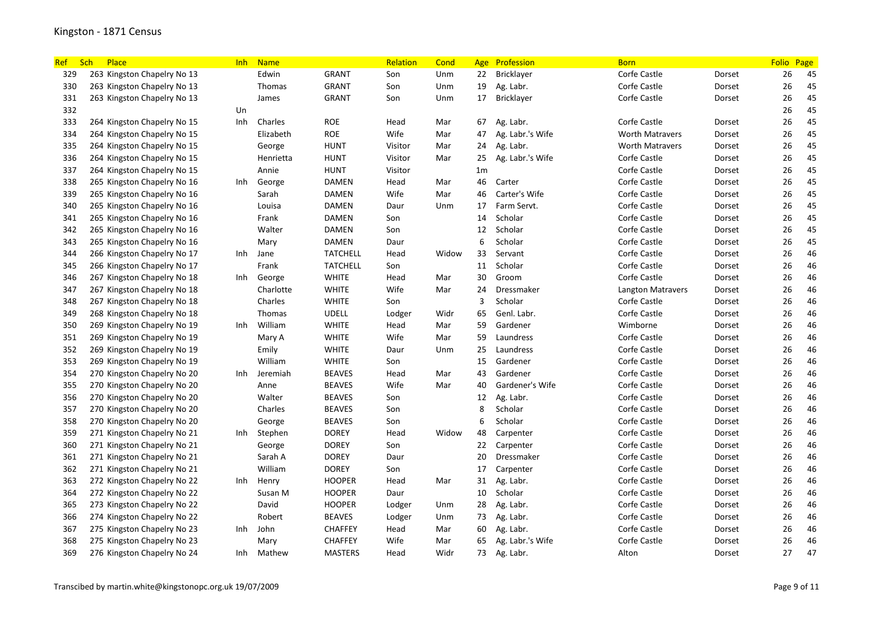| <b>Ref</b> | Place<br>Sch                | <b>Inh</b> | <b>Name</b> |                 | Relation | Cond  | Age            | Profession       | <b>Born</b>              |        | <b>Folio</b> | Page |
|------------|-----------------------------|------------|-------------|-----------------|----------|-------|----------------|------------------|--------------------------|--------|--------------|------|
| 329        | 263 Kingston Chapelry No 13 |            | Edwin       | <b>GRANT</b>    | Son      | Unm   | 22             | Bricklayer       | Corfe Castle             | Dorset | 26           | 45   |
| 330        | 263 Kingston Chapelry No 13 |            | Thomas      | <b>GRANT</b>    | Son      | Unm   | 19             | Ag. Labr.        | Corfe Castle             | Dorset | 26           | 45   |
| 331        | 263 Kingston Chapelry No 13 |            | James       | <b>GRANT</b>    | Son      | Unm   | 17             | Bricklayer       | Corfe Castle             | Dorset | 26           | 45   |
| 332        |                             | Un         |             |                 |          |       |                |                  |                          |        | 26           | 45   |
| 333        | 264 Kingston Chapelry No 15 | Inh        | Charles     | <b>ROE</b>      | Head     | Mar   | 67             | Ag. Labr.        | Corfe Castle             | Dorset | 26           | 45   |
| 334        | 264 Kingston Chapelry No 15 |            | Elizabeth   | <b>ROE</b>      | Wife     | Mar   | 47             | Ag. Labr.'s Wife | <b>Worth Matravers</b>   | Dorset | 26           | 45   |
| 335        | 264 Kingston Chapelry No 15 |            | George      | <b>HUNT</b>     | Visitor  | Mar   | 24             | Ag. Labr.        | <b>Worth Matravers</b>   | Dorset | 26           | 45   |
| 336        | 264 Kingston Chapelry No 15 |            | Henrietta   | HUNT            | Visitor  | Mar   | 25             | Ag. Labr.'s Wife | Corfe Castle             | Dorset | 26           | 45   |
| 337        | 264 Kingston Chapelry No 15 |            | Annie       | <b>HUNT</b>     | Visitor  |       | 1 <sub>m</sub> |                  | Corfe Castle             | Dorset | 26           | 45   |
| 338        | 265 Kingston Chapelry No 16 | Inh        | George      | DAMEN           | Head     | Mar   | 46             | Carter           | Corfe Castle             | Dorset | 26           | 45   |
| 339        | 265 Kingston Chapelry No 16 |            | Sarah       | <b>DAMEN</b>    | Wife     | Mar   | 46             | Carter's Wife    | Corfe Castle             | Dorset | 26           | 45   |
| 340        | 265 Kingston Chapelry No 16 |            | Louisa      | DAMEN           | Daur     | Unm   | 17             | Farm Servt.      | Corfe Castle             | Dorset | 26           | 45   |
| 341        | 265 Kingston Chapelry No 16 |            | Frank       | DAMEN           | Son      |       | 14             | Scholar          | Corfe Castle             | Dorset | 26           | 45   |
| 342        | 265 Kingston Chapelry No 16 |            | Walter      | <b>DAMEN</b>    | Son      |       | 12             | Scholar          | Corfe Castle             | Dorset | 26           | 45   |
| 343        | 265 Kingston Chapelry No 16 |            | Mary        | DAMEN           | Daur     |       | 6              | Scholar          | Corfe Castle             | Dorset | 26           | 45   |
| 344        | 266 Kingston Chapelry No 17 | Inh        | Jane        | <b>TATCHELL</b> | Head     | Widow | 33             | Servant          | Corfe Castle             | Dorset | 26           | 46   |
| 345        | 266 Kingston Chapelry No 17 |            | Frank       | <b>TATCHELL</b> | Son      |       | 11             | Scholar          | Corfe Castle             | Dorset | 26           | 46   |
| 346        | 267 Kingston Chapelry No 18 | Inh        | George      | <b>WHITE</b>    | Head     | Mar   | 30             | Groom            | Corfe Castle             | Dorset | 26           | 46   |
| 347        | 267 Kingston Chapelry No 18 |            | Charlotte   | <b>WHITE</b>    | Wife     | Mar   | 24             | Dressmaker       | <b>Langton Matravers</b> | Dorset | 26           | 46   |
| 348        | 267 Kingston Chapelry No 18 |            | Charles     | <b>WHITE</b>    | Son      |       | $\overline{3}$ | Scholar          | Corfe Castle             | Dorset | 26           | 46   |
| 349        | 268 Kingston Chapelry No 18 |            | Thomas      | <b>UDELL</b>    | Lodger   | Widr  | 65             | Genl. Labr.      | Corfe Castle             | Dorset | 26           | 46   |
| 350        | 269 Kingston Chapelry No 19 | Inh        | William     | <b>WHITE</b>    | Head     | Mar   | 59             | Gardener         | Wimborne                 | Dorset | 26           | 46   |
| 351        | 269 Kingston Chapelry No 19 |            | Mary A      | <b>WHITE</b>    | Wife     | Mar   | 59             | Laundress        | Corfe Castle             | Dorset | 26           | 46   |
| 352        | 269 Kingston Chapelry No 19 |            | Emily       | <b>WHITE</b>    | Daur     | Unm   | 25             | Laundress        | Corfe Castle             | Dorset | 26           | 46   |
| 353        | 269 Kingston Chapelry No 19 |            | William     | <b>WHITE</b>    | Son      |       | 15             | Gardener         | Corfe Castle             | Dorset | 26           | 46   |
| 354        | 270 Kingston Chapelry No 20 | Inh        | Jeremiah    | <b>BEAVES</b>   | Head     | Mar   | 43             | Gardener         | Corfe Castle             | Dorset | 26           | 46   |
| 355        | 270 Kingston Chapelry No 20 |            | Anne        | <b>BEAVES</b>   | Wife     | Mar   | 40             | Gardener's Wife  | Corfe Castle             | Dorset | 26           | 46   |
| 356        | 270 Kingston Chapelry No 20 |            | Walter      | <b>BEAVES</b>   | Son      |       | 12             | Ag. Labr.        | Corfe Castle             | Dorset | 26           | 46   |
| 357        | 270 Kingston Chapelry No 20 |            | Charles     | <b>BEAVES</b>   | Son      |       | 8              | Scholar          | Corfe Castle             | Dorset | 26           | 46   |
| 358        | 270 Kingston Chapelry No 20 |            | George      | <b>BEAVES</b>   | Son      |       | 6              | Scholar          | Corfe Castle             | Dorset | 26           | 46   |
| 359        | 271 Kingston Chapelry No 21 | Inh        | Stephen     | <b>DOREY</b>    | Head     | Widow | 48             | Carpenter        | Corfe Castle             | Dorset | 26           | 46   |
| 360        | 271 Kingston Chapelry No 21 |            | George      | <b>DOREY</b>    | Son      |       | 22             | Carpenter        | Corfe Castle             | Dorset | 26           | 46   |
| 361        | 271 Kingston Chapelry No 21 |            | Sarah A     | DOREY           | Daur     |       | 20             | Dressmaker       | Corfe Castle             | Dorset | 26           | 46   |
| 362        | 271 Kingston Chapelry No 21 |            | William     | <b>DOREY</b>    | Son      |       | 17             | Carpenter        | Corfe Castle             | Dorset | 26           | 46   |
| 363        | 272 Kingston Chapelry No 22 | Inh        | Henry       | <b>HOOPER</b>   | Head     | Mar   | 31             | Ag. Labr.        | Corfe Castle             | Dorset | 26           | 46   |
| 364        | 272 Kingston Chapelry No 22 |            | Susan M     | <b>HOOPER</b>   | Daur     |       | 10             | Scholar          | Corfe Castle             | Dorset | 26           | 46   |
| 365        | 273 Kingston Chapelry No 22 |            | David       | <b>HOOPER</b>   | Lodger   | Unm   | 28             | Ag. Labr.        | Corfe Castle             | Dorset | 26           | 46   |
| 366        | 274 Kingston Chapelry No 22 |            | Robert      | <b>BEAVES</b>   | Lodger   | Unm   | 73             | Ag. Labr.        | Corfe Castle             | Dorset | 26           | 46   |
| 367        | 275 Kingston Chapelry No 23 | Inh        | John        | <b>CHAFFEY</b>  | Head     | Mar   | 60             | Ag. Labr.        | Corfe Castle             | Dorset | 26           | 46   |
| 368        | 275 Kingston Chapelry No 23 |            | Mary        | <b>CHAFFEY</b>  | Wife     | Mar   | 65             | Ag. Labr.'s Wife | Corfe Castle             | Dorset | 26           | 46   |
| 369        | 276 Kingston Chapelry No 24 | Inh        | Mathew      | <b>MASTERS</b>  | Head     | Widr  | 73             | Ag. Labr.        | Alton                    | Dorset | 27           | 47   |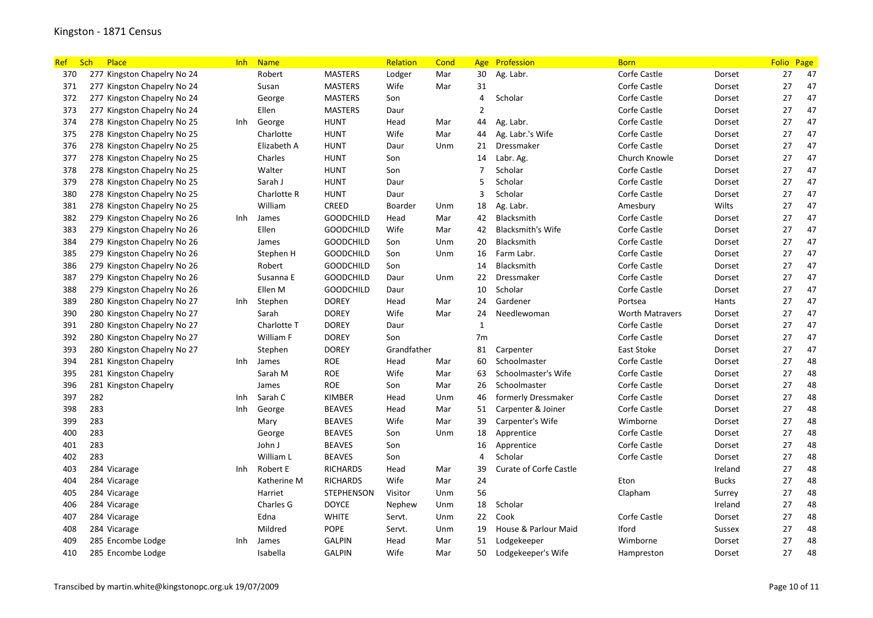| <b>Ref</b> | Sch<br>Place                | Inh  | <b>Name</b> |                   | Relation    | Cond | Age            | Profession                    | <b>Born</b>            |               | <b>Folio</b> | Page |
|------------|-----------------------------|------|-------------|-------------------|-------------|------|----------------|-------------------------------|------------------------|---------------|--------------|------|
| 370        | 277 Kingston Chapelry No 24 |      | Robert      | <b>MASTERS</b>    | Lodger      | Mar  | 30             | Ag. Labr.                     | Corfe Castle           | Dorset        | 27           | 47   |
| 371        | 277 Kingston Chapelry No 24 |      | Susan       | <b>MASTERS</b>    | Wife        | Mar  | 31             |                               | Corfe Castle           | Dorset        | 27           | 47   |
| 372        | 277 Kingston Chapelry No 24 |      | George      | <b>MASTERS</b>    | Son         |      | $\overline{4}$ | Scholar                       | Corfe Castle           | Dorset        | 27           | 47   |
| 373        | 277 Kingston Chapelry No 24 |      | Ellen       | <b>MASTERS</b>    | Daur        |      | $\overline{2}$ |                               | Corfe Castle           | Dorset        | 27           | 47   |
| 374        | 278 Kingston Chapelry No 25 | Inh  | George      | HUNT              | Head        | Mar  | 44             | Ag. Labr.                     | Corfe Castle           | Dorset        | 27           | 47   |
| 375        | 278 Kingston Chapelry No 25 |      | Charlotte   | HUNT              | Wife        | Mar  | 44             | Ag. Labr.'s Wife              | Corfe Castle           | Dorset        | 27           | 47   |
| 376        | 278 Kingston Chapelry No 25 |      | Elizabeth A | <b>HUNT</b>       | Daur        | Unm  | 21             | Dressmaker                    | Corfe Castle           | Dorset        | 27           | 47   |
| 377        | 278 Kingston Chapelry No 25 |      | Charles     | <b>HUNT</b>       | Son         |      | 14             | Labr. Ag.                     | Church Knowle          | Dorset        | 27           | 47   |
| 378        | 278 Kingston Chapelry No 25 |      | Walter      | <b>HUNT</b>       | Son         |      | 7              | Scholar                       | Corfe Castle           | Dorset        | 27           | 47   |
| 379        | 278 Kingston Chapelry No 25 |      | Sarah J     | HUNT              | Daur        |      | 5              | Scholar                       | Corfe Castle           | Dorset        | 27           | 47   |
| 380        | 278 Kingston Chapelry No 25 |      | Charlotte R | <b>HUNT</b>       | Daur        |      | $\overline{3}$ | Scholar                       | Corfe Castle           | Dorset        | 27           | 47   |
| 381        | 278 Kingston Chapelry No 25 |      | William     | <b>CREED</b>      | Boarder     | Unm  | 18             | Ag. Labr.                     | Amesbury               | Wilts         | 27           | 47   |
| 382        | 279 Kingston Chapelry No 26 | Inh  | James       | <b>GOODCHILD</b>  | Head        | Mar  | 42             | Blacksmith                    | Corfe Castle           | Dorset        | 27           | 47   |
| 383        | 279 Kingston Chapelry No 26 |      | Ellen       | <b>GOODCHILD</b>  | Wife        | Mar  | 42             | <b>Blacksmith's Wife</b>      | Corfe Castle           | Dorset        | 27           | 47   |
| 384        | 279 Kingston Chapelry No 26 |      | James       | <b>GOODCHILD</b>  | Son         | Unm  | 20             | <b>Blacksmith</b>             | Corfe Castle           | Dorset        | 27           | 47   |
| 385        | 279 Kingston Chapelry No 26 |      | Stephen H   | <b>GOODCHILD</b>  | Son         | Unm  | 16             | Farm Labr.                    | Corfe Castle           | Dorset        | 27           | 47   |
| 386        | 279 Kingston Chapelry No 26 |      | Robert      | <b>GOODCHILD</b>  | Son         |      | 14             | <b>Blacksmith</b>             | Corfe Castle           | Dorset        | 27           | 47   |
| 387        | 279 Kingston Chapelry No 26 |      | Susanna E   | <b>GOODCHILD</b>  | Daur        | Unm  | 22             | Dressmaker                    | Corfe Castle           | Dorset        | 27           | 47   |
| 388        | 279 Kingston Chapelry No 26 |      | Ellen M     | <b>GOODCHILD</b>  | Daur        |      | 10             | Scholar                       | Corfe Castle           | Dorset        | 27           | 47   |
| 389        | 280 Kingston Chapelry No 27 | Inh  | Stephen     | <b>DOREY</b>      | Head        | Mar  | 24             | Gardener                      | Portsea                | Hants         | 27           | 47   |
| 390        | 280 Kingston Chapelry No 27 |      | Sarah       | <b>DOREY</b>      | Wife        | Mar  | 24             | Needlewoman                   | <b>Worth Matravers</b> | Dorset        | 27           | 47   |
| 391        | 280 Kingston Chapelry No 27 |      | Charlotte T | <b>DOREY</b>      | Daur        |      | $\mathbf{1}$   |                               | Corfe Castle           | Dorset        | 27           | 47   |
| 392        | 280 Kingston Chapelry No 27 |      | William F   | <b>DOREY</b>      | Son         |      | 7m             |                               | Corfe Castle           | Dorset        | 27           | 47   |
| 393        | 280 Kingston Chapelry No 27 |      | Stephen     | DOREY             | Grandfather |      | 81             | Carpenter                     | East Stoke             | Dorset        | 27           | 47   |
| 394        | 281 Kingston Chapelry       | Inh. | James       | <b>ROE</b>        | Head        | Mar  | 60             | Schoolmaster                  | Corfe Castle           | Dorset        | 27           | 48   |
| 395        | 281 Kingston Chapelry       |      | Sarah M     | <b>ROE</b>        | Wife        | Mar  | 63             | Schoolmaster's Wife           | Corfe Castle           | Dorset        | 27           | 48   |
| 396        | 281 Kingston Chapelry       |      | James       | <b>ROE</b>        | Son         | Mar  | 26             | Schoolmaster                  | Corfe Castle           | Dorset        | 27           | 48   |
| 397        | 282                         | Inh  | Sarah C     | KIMBER            | Head        | Unm  | 46             | formerly Dressmaker           | Corfe Castle           | Dorset        | 27           | 48   |
| 398        | 283                         | Inh  | George      | <b>BEAVES</b>     | Head        | Mar  | 51             | Carpenter & Joiner            | Corfe Castle           | Dorset        | 27           | 48   |
| 399        | 283                         |      | Mary        | <b>BEAVES</b>     | Wife        | Mar  | 39             | Carpenter's Wife              | Wimborne               | Dorset        | 27           | 48   |
| 400        | 283                         |      | George      | <b>BEAVES</b>     | Son         | Unm  | 18             | Apprentice                    | Corfe Castle           | Dorset        | 27           | 48   |
| 401        | 283                         |      | John J      | <b>BEAVES</b>     | Son         |      | 16             | Apprentice                    | Corfe Castle           | Dorset        | 27           | 48   |
| 402        | 283                         |      | William L   | <b>BEAVES</b>     | Son         |      | $\overline{4}$ | Scholar                       | Corfe Castle           | Dorset        | 27           | 48   |
| 403        | 284 Vicarage                | Inh  | Robert E    | <b>RICHARDS</b>   | Head        | Mar  | 39             | <b>Curate of Corfe Castle</b> |                        | Ireland       | 27           | 48   |
| 404        | 284 Vicarage                |      | Katherine M | <b>RICHARDS</b>   | Wife        | Mar  | 24             |                               | Eton                   | <b>Bucks</b>  | 27           | 48   |
| 405        | 284 Vicarage                |      | Harriet     | <b>STEPHENSON</b> | Visitor     | Unm  | 56             |                               | Clapham                | Surrey        | 27           | 48   |
| 406        | 284 Vicarage                |      | Charles G   | DOYCE             | Nephew      | Unm  | 18             | Scholar                       |                        | Ireland       | 27           | 48   |
| 407        | 284 Vicarage                |      | Edna        | <b>WHITE</b>      | Servt.      | Unm  | 22             | Cook                          | Corfe Castle           | Dorset        | 27           | 48   |
| 408        | 284 Vicarage                |      | Mildred     | <b>POPE</b>       | Servt.      | Unm  | 19             | House & Parlour Maid          | Iford                  | <b>Sussex</b> | 27           | 48   |
| 409        | 285 Encombe Lodge           | Inh. | James       | <b>GALPIN</b>     | Head        | Mar  | 51             | Lodgekeeper                   | Wimborne               | Dorset        | 27           | 48   |
| 410        | 285 Encombe Lodge           |      | Isabella    | <b>GALPIN</b>     | Wife        | Mar  | 50             | Lodgekeeper's Wife            | Hampreston             | Dorset        | 27           | 48   |